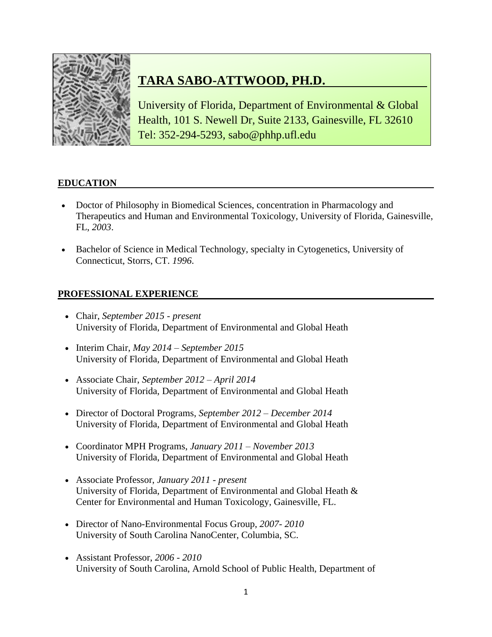

# **TARA SABO-ATTWOOD, PH.D.**

University of Florida, Department of Environmental & Global Health, 101 S. Newell Dr, Suite 2133, Gainesville, FL 32610 Tel: 352-294-5293, sabo@phhp.ufl.edu

# **EDUCATION**

- Doctor of Philosophy in Biomedical Sciences, concentration in Pharmacology and Therapeutics and Human and Environmental Toxicology, University of Florida, Gainesville, FL, *2003*.
- Bachelor of Science in Medical Technology, specialty in Cytogenetics, University of Connecticut, Storrs, CT. *1996*.

# **PROFESSIONAL EXPERIENCE**

- Chair, *September 2015 - present* University of Florida, Department of Environmental and Global Heath
- Interim Chair, *May 2014 – September 2015* University of Florida, Department of Environmental and Global Heath
- Associate Chair, *September 2012 – April 2014* University of Florida, Department of Environmental and Global Heath
- Director of Doctoral Programs, *September 2012 – December 2014* University of Florida, Department of Environmental and Global Heath
- Coordinator MPH Programs, *January 2011 – November 2013* University of Florida, Department of Environmental and Global Heath
- Associate Professor, *January 2011 - present* University of Florida, Department of Environmental and Global Heath & Center for Environmental and Human Toxicology, Gainesville, FL.
- Director of Nano-Environmental Focus Group, *2007- 2010* University of South Carolina NanoCenter, Columbia, SC.
- Assistant Professor, *2006 - 2010* University of South Carolina, Arnold School of Public Health, Department of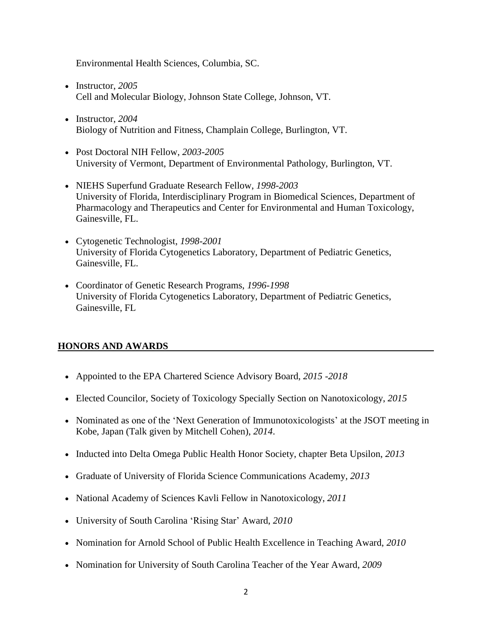Environmental Health Sciences, Columbia, SC.

- Instructor, 2005 Cell and Molecular Biology, Johnson State College, Johnson, VT.
- Instructor, 2004 Biology of Nutrition and Fitness, Champlain College, Burlington, VT.
- Post Doctoral NIH Fellow, *2003-2005* University of Vermont, Department of Environmental Pathology, Burlington, VT.
- NIEHS Superfund Graduate Research Fellow, *1998-2003* University of Florida, Interdisciplinary Program in Biomedical Sciences, Department of Pharmacology and Therapeutics and Center for Environmental and Human Toxicology, Gainesville, FL.
- Cytogenetic Technologist, *1998-2001* University of Florida Cytogenetics Laboratory, Department of Pediatric Genetics, Gainesville, FL.
- Coordinator of Genetic Research Programs, *1996-1998* University of Florida Cytogenetics Laboratory, Department of Pediatric Genetics, Gainesville, FL

# **HONORS AND AWARDS**

- Appointed to the EPA Chartered Science Advisory Board, *2015 -2018*
- Elected Councilor, Society of Toxicology Specially Section on Nanotoxicology, *2015*
- Nominated as one of the 'Next Generation of Immunotoxicologists' at the JSOT meeting in Kobe, Japan (Talk given by Mitchell Cohen), *2014*.
- Inducted into Delta Omega Public Health Honor Society, chapter [Beta Upsilon,](https://mail.ufl.edu/OWA/redir.aspx?C=EQFN2pKNFkC8I_2fuzg7YE2SuWUXFtAIvOUiuwzCot5b48kXzC4B6qp_h3Q2HDEJCTgkIu7XdJk.&URL=http%3a%2f%2fdeltaomega.mph.ufl.edu%2f) *2013*
- Graduate of University of Florida Science Communications Academy*, 2013*
- National Academy of Sciences Kavli Fellow in Nanotoxicology, *2011*
- University of South Carolina 'Rising Star' Award, *2010*
- Nomination for Arnold School of Public Health Excellence in Teaching Award, *2010*
- Nomination for University of South Carolina Teacher of the Year Award, *2009*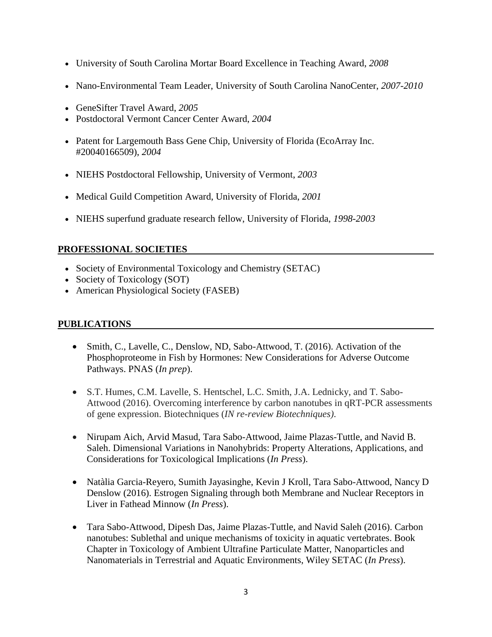- University of South Carolina Mortar Board Excellence in Teaching Award, *2008*
- Nano-Environmental Team Leader, University of South Carolina NanoCenter, *2007-2010*
- GeneSifter Travel Award, *2005*
- Postdoctoral Vermont Cancer Center Award, *2004*
- Patent for Largemouth Bass Gene Chip, University of Florida (EcoArray Inc. #20040166509), *2004*
- NIEHS Postdoctoral Fellowship, University of Vermont, *2003*
- Medical Guild Competition Award, University of Florida, *2001*
- NIEHS superfund graduate research fellow, University of Florida, *1998-2003*

# **PROFESSIONAL SOCIETIES**

- Society of Environmental Toxicology and Chemistry (SETAC)
- Society of Toxicology (SOT)
- American Physiological Society (FASEB)

# **PUBLICATIONS**

- Smith, C., Lavelle, C., Denslow, ND, Sabo-Attwood, T. (2016). Activation of the Phosphoproteome in Fish by Hormones: New Considerations for Adverse Outcome Pathways. PNAS (*In prep*).
- S.T. Humes, C.M. Lavelle, S. Hentschel, L.C. Smith, J.A. Lednicky, and T. Sabo-Attwood (2016). Overcoming interference by carbon nanotubes in qRT-PCR assessments of gene expression. Biotechniques (*IN re-review Biotechniques)*.
- Nirupam Aich, Arvid Masud, Tara Sabo-Attwood, Jaime Plazas-Tuttle, and Navid B. Saleh. Dimensional Variations in Nanohybrids: Property Alterations, Applications, and Considerations for Toxicological Implications (*In Press*).
- Natàlia Garcia-Reyero, Sumith Jayasinghe, Kevin J Kroll, Tara Sabo-Attwood, Nancy D Denslow (2016). Estrogen Signaling through both Membrane and Nuclear Receptors in Liver in Fathead Minnow (*In Press*).
- Tara Sabo-Attwood, Dipesh Das, Jaime Plazas-Tuttle, and Navid Saleh (2016). Carbon nanotubes: Sublethal and unique mechanisms of toxicity in aquatic vertebrates. Book Chapter in Toxicology of Ambient Ultrafine Particulate Matter, Nanoparticles and Nanomaterials in Terrestrial and Aquatic Environments, Wiley SETAC (*In Press*).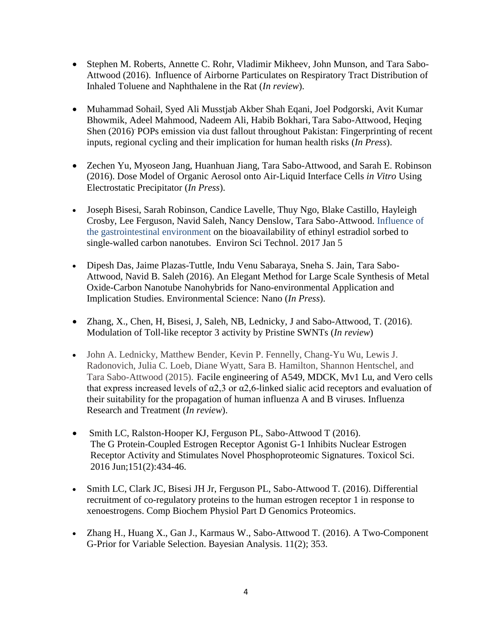- Stephen M. Roberts, Annette C. Rohr, Vladimir Mikheev, John Munson, and Tara Sabo-Attwood (2016). Influence of Airborne Particulates on Respiratory Tract Distribution of Inhaled Toluene and Naphthalene in the Rat (*In review*).
- Muhammad Sohail, Syed Ali Musstjab Akber Shah Eqani, Joel Podgorski, Avit Kumar Bhowmik, Adeel Mahmood, Nadeem Ali, Habib Bokhari, Tara Sabo-Attwood, Heqing Shen (2016). POPs emission via dust fallout throughout Pakistan: Fingerprinting of recent inputs, regional cycling and their implication for human health risks (*In Press*).
- Zechen Yu, Myoseon Jang, Huanhuan Jiang, Tara Sabo-Attwood, and Sarah E. Robinson (2016). Dose Model of Organic Aerosol onto Air-Liquid Interface Cells *in Vitro* Using Electrostatic Precipitator (*In Press*).
- Joseph Bisesi, Sarah Robinson, Candice Lavelle, Thuy Ngo, Blake Castillo, Hayleigh Crosby, Lee Ferguson, Navid Saleh, Nancy Denslow, Tara Sabo-Attwood. Influence of the gastrointestinal environment on the bioavailability of ethinyl estradiol sorbed to single-walled carbon nanotubes. Environ Sci Technol. 2017 Jan 5
- Dipesh Das, Jaime Plazas-Tuttle, Indu Venu Sabaraya, Sneha S. Jain, Tara Sabo-Attwood, Navid B. Saleh (2016). An Elegant Method for Large Scale Synthesis of Metal Oxide-Carbon Nanotube Nanohybrids for Nano-environmental Application and Implication Studies. Environmental Science: Nano (*In Press*).
- Zhang, X., Chen, H, Bisesi, J, Saleh, NB, Lednicky, J and Sabo-Attwood, T. (2016). Modulation of Toll-like receptor 3 activity by Pristine SWNTs (*In review*)
- John A. Lednicky, Matthew Bender, Kevin P. Fennelly, Chang-Yu Wu, Lewis J. Radonovich, Julia C. Loeb, Diane Wyatt, Sara B. Hamilton, Shannon Hentschel, and Tara Sabo-Attwood (2015). Facile engineering of A549, MDCK, Mv1 Lu, and Vero cells that express increased levels of  $\alpha$ 2,3 or  $\alpha$ 2,6-linked sialic acid receptors and evaluation of their suitability for the propagation of human influenza A and B viruses. Influenza Research and Treatment (*In review*).
- Smith LC, Ralston-Hooper KJ, Ferguson PL, Sabo-Attwood T (2016). [The G Protein-Coupled Estrogen Receptor Agonist G-1 Inhibits Nuclear Estrogen](http://www.ncbi.nlm.nih.gov/pubmed/27026707)  [Receptor Activity and Stimulates Novel Phosphoproteomic Signatures.](http://www.ncbi.nlm.nih.gov/pubmed/27026707) Toxicol Sci. 2016 Jun;151(2):434-46.
- Smith LC, Clark JC, Bisesi JH Jr, Ferguson PL, Sabo-Attwood T. (2016). [Differential](http://www.ncbi.nlm.nih.gov/pubmed/27156127)  [recruitment of co-regulatory proteins to the human estrogen receptor 1 in response to](http://www.ncbi.nlm.nih.gov/pubmed/27156127)  [xenoestrogens.](http://www.ncbi.nlm.nih.gov/pubmed/27156127) Comp Biochem Physiol Part D Genomics Proteomics.
- Zhang H., Huang X., Gan J., Karmaus W., Sabo-Attwood T. (2016). A Two-Component G-Prior for Variable Selection. Bayesian Analysis. 11(2); 353.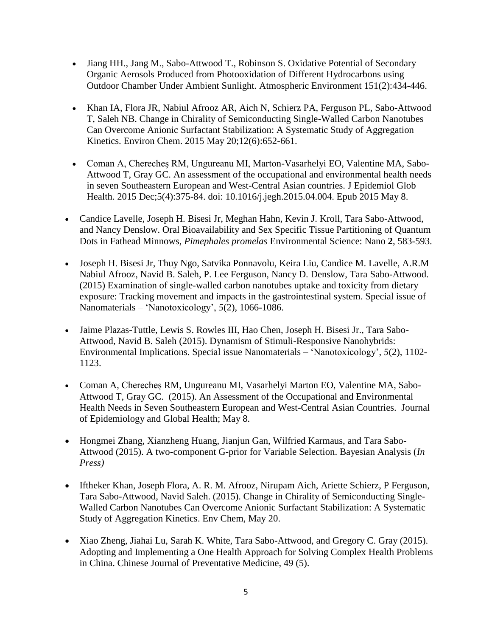- Jiang HH., Jang M., Sabo-Attwood T., Robinson S. Oxidative Potential of Secondary Organic Aerosols Produced from Photooxidation of Different Hydrocarbons using Outdoor Chamber Under Ambient Sunlight. Atmospheric Environment 151(2):434-446.
- Khan IA, Flora JR, Nabiul Afrooz AR, Aich N, Schierz PA, Ferguson PL, Sabo-Attwood T, Saleh NB. Change in Chirality of Semiconducting Single-Walled Carbon Nanotubes Can Overcome Anionic Surfactant Stabilization: A Systematic Study of Aggregation Kinetics. Environ Chem. 2015 May 20;12(6):652-661.
- Coman A, Cherecheş RM, Ungureanu MI, Marton-Vasarhelyi EO, Valentine MA, Sabo-Attwood T, Gray GC. [An assessment of the occupational and environmental health needs](http://www.ncbi.nlm.nih.gov/pubmed/25963604)  [in seven Southeastern European and West-Central Asian countries.](http://www.ncbi.nlm.nih.gov/pubmed/25963604) J Epidemiol Glob Health. 2015 Dec;5(4):375-84. doi: 10.1016/j.jegh.2015.04.004. Epub 2015 May 8.
- Candice Lavelle*,* Joseph H. Bisesi Jr, Meghan Hahn, Kevin J. Kroll, Tara Sabo-Attwood, and Nancy Denslow. Oral Bioavailability and Sex Specific Tissue Partitioning of Quantum Dots in Fathead Minnows, *Pimephales promelas* Environmental Science: Nano **2**, 583-593.
- Joseph H. Bisesi Jr, Thuy Ngo, Satvika Ponnavolu, Keira Liu, Candice M. Lavelle, A.R.M Nabiul Afrooz, Navid B. Saleh, P. Lee Ferguson, Nancy D. Denslow, Tara Sabo-Attwood. (2015) Examination of single-walled carbon nanotubes uptake and toxicity from dietary exposure: Tracking movement and impacts in the gastrointestinal system. Special issue of Nanomaterials – 'Nanotoxicology', *5*(2), 1066-1086.
- Jaime Plazas-Tuttle, Lewis S. Rowles III, Hao Chen, Joseph H. Bisesi Jr., Tara Sabo-Attwood, Navid B. Saleh (2015). Dynamism of Stimuli-Responsive Nanohybrids: Environmental Implications. Special issue Nanomaterials – 'Nanotoxicology', *5*(2), 1102- 1123.
- Coman A, Cherecheș RM, Ungureanu MI, Vasarhelyi Marton EO, Valentine MA, Sabo-Attwood T, Gray GC. (2015). An Assessment of the Occupational and Environmental Health Needs in Seven Southeastern European and West-Central Asian Countries. Journal of Epidemiology and Global Health; May 8.
- Hongmei Zhang, Xianzheng Huang, Jianjun Gan, Wilfried Karmaus, and Tara Sabo-Attwood (2015). A two-component G-prior for Variable Selection. Bayesian Analysis (*In Press)*
- Iftheker Khan, Joseph Flora, A. R. M. Afrooz, Nirupam Aich, Ariette Schierz, P Ferguson, Tara Sabo-Attwood, [Navid Saleh.](mailto:navid.saleh@utexas.edu) (2015). Change in Chirality of Semiconducting Single-Walled Carbon Nanotubes Can Overcome Anionic Surfactant Stabilization: A Systematic Study of Aggregation Kinetics. Env Chem, May 20.
- Xiao Zheng, Jiahai Lu, Sarah K. White, Tara Sabo-Attwood, and Gregory C. Gray (2015). Adopting and Implementing a One Health Approach for Solving Complex Health Problems in China. Chinese Journal of Preventative Medicine, 49 (5).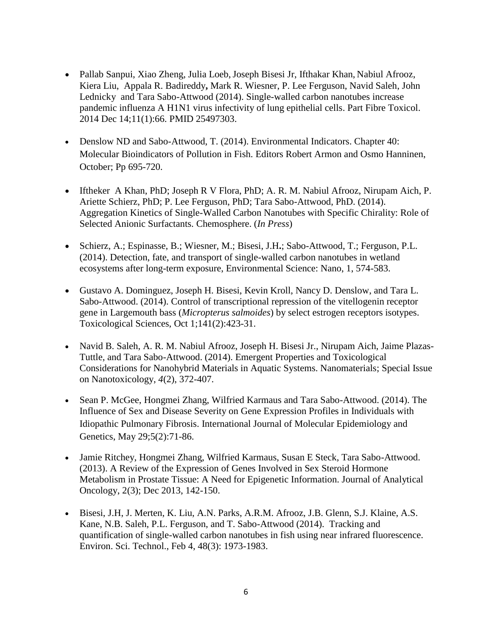- Pallab Sanpui, Xiao Zheng, Julia Loeb,Joseph Bisesi Jr, Ifthakar Khan, Nabiul Afrooz, Kiera Liu, Appala R. Badireddy**,** Mark R. Wiesner, P. Lee Ferguson, Navid Saleh, John Lednicky and Tara Sabo-Attwood (2014). Single-walled carbon nanotubes increase pandemic influenza A H1N1 virus infectivity of lung epithelial cells. Part Fibre Toxicol. 2014 Dec 14;11(1):66. PMID 25497303.
- Denslow ND and Sabo-Attwood, T. (2014). [Environmental Indicators.](http://link.springer.com/book/10.1007/978-94-017-9499-2) Chapter 40: Molecular Bioindicators of Pollution in Fish. Editors Robert Armon and Osmo Hanninen, October; Pp 695-720.
- Iftheker A Khan, PhD; Joseph R V Flora, PhD; A. R. M. Nabiul Afrooz, Nirupam Aich, P. Ariette Schierz, PhD; P. Lee Ferguson, PhD; Tara Sabo-Attwood, PhD. (2014). Aggregation Kinetics of Single-Walled Carbon Nanotubes with Specific Chirality: Role of Selected Anionic Surfactants. Chemosphere. (*In Press*)
- Schierz, A.; Espinasse, B.; Wiesner, M.; Bisesi, J.H**.**; Sabo-Attwood, T.; Ferguson, P.L. (2014). Detection, fate, and transport of single-walled carbon nanotubes in wetland ecosystems after long-term exposure, Environmental Science: Nano, 1, 574-583.
- Gustavo A. Dominguez, Joseph H. Bisesi, Kevin Kroll, Nancy D. Denslow, and Tara L. Sabo-Attwood. (2014). Control of transcriptional repression of the vitellogenin receptor gene in Largemouth bass (*Micropterus salmoides*) by select estrogen receptors isotypes. Toxicological Sciences, Oct 1;141(2):423-31.
- Navid B. Saleh, A. R. M. Nabiul Afrooz, Joseph H. Bisesi Jr., Nirupam Aich, Jaime Plazas-Tuttle, and Tara Sabo-Attwood. (2014). Emergent Properties and Toxicological Considerations for Nanohybrid Materials in Aquatic Systems. Nanomaterials; Special Issue on Nanotoxicology, *4*(2), 372-407.
- Sean P. McGee, Hongmei Zhang, Wilfried Karmaus and Tara Sabo-Attwood. (2014). The Influence of Sex and Disease Severity on Gene Expression Profiles in Individuals with Idiopathic Pulmonary Fibrosis. International Journal of Molecular Epidemiology and Genetics, May 29;5(2):71-86.
- Jamie Ritchey, Hongmei Zhang, Wilfried Karmaus, Susan E Steck, Tara Sabo-Attwood. (2013). A Review of the Expression of Genes Involved in Sex Steroid Hormone Metabolism in Prostate Tissue: A Need for Epigenetic Information. Journal of Analytical Oncology, 2(3); Dec 2013, 142-150.
- Bisesi, J.H, J. Merten, K. Liu, A.N. Parks, A.R.M. Afrooz, J.B. Glenn, S.J. Klaine, A.S. Kane, N.B. Saleh, P.L. Ferguson, and T. Sabo-Attwood (2014). Tracking and quantification of single-walled carbon nanotubes in fish using near infrared fluorescence. Environ. Sci. Technol., Feb 4, 48(3): 1973-1983.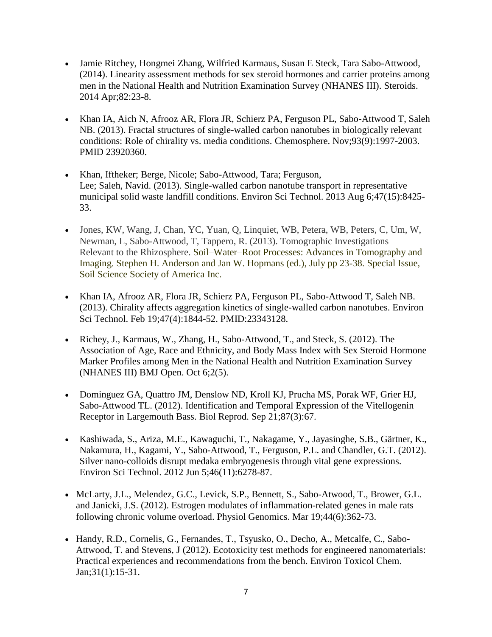- Jamie Ritchey, Hongmei Zhang, Wilfried Karmaus, Susan E Steck, Tara Sabo-Attwood, (2014). Linearity assessment methods for sex steroid hormones and carrier proteins among men in the National Health and Nutrition Examination Survey (NHANES III). Steroids. 2014 Apr;82:23-8.
- Khan IA, Aich N, Afrooz AR, Flora JR, Schierz PA, Ferguson PL, Sabo-Attwood T, Saleh NB. (2013). [Fractal structures of single-walled carbon nanotubes in biologically relevant](http://www.ncbi.nlm.nih.gov/pubmed/23920360)  [conditions: Role of chirality vs. media conditions.](http://www.ncbi.nlm.nih.gov/pubmed/23920360) Chemosphere. Nov;93(9):1997-2003. PMID 23920360.
- Khan, Iftheker; Berge, Nicole; Sabo-Attwood, Tara; Ferguson, Lee; Saleh, Navid. (2013). Single-walled carbon nanotube transport in representative municipal solid waste landfill conditions. Environ Sci Technol. 2013 Aug 6;47(15):8425- 33.
- Jones, KW, Wang, J, Chan, YC, Yuan, Q, Linquiet, WB, Petera, WB, Peters, C, Um, W, Newman, L, Sabo-Attwood, T, Tappero, R. (2013). Tomographic Investigations Relevant to the Rhizosphere. Soil–Water–Root Processes: Advances in Tomography and Imaging. Stephen H. Anderson and Jan W. Hopmans (ed.), July pp 23-38. Special Issue, Soil Science Society of America Inc.
- Khan IA, Afrooz AR, Flora JR, Schierz PA, Ferguson PL, Sabo-Attwood T, Saleh NB. (2013). [Chirality affects aggregation kinetics of single-walled carbon nanotubes.](http://www.ncbi.nlm.nih.gov/pubmed/23343128) Environ Sci Technol. Feb 19;47(4):1844-52. PMID:23343128.
- Richey, J., Karmaus, W., Zhang, H., Sabo-Attwood, T., and Steck, S. (2012). The Association of Age, Race and Ethnicity, and Body Mass Index with Sex Steroid Hormone Marker Profiles among Men in the National Health and Nutrition Examination Survey (NHANES III) BMJ Open. Oct 6;2(5).
- Dominguez GA, Quattro JM, Denslow ND, Kroll KJ, Prucha MS, Porak WF, Grier HJ, Sabo-Attwood TL. (2012). Identification and Temporal Expression of the Vitellogenin Receptor in Largemouth Bass. Biol Reprod. Sep 21;87(3):67.
- Kashiwada, S., Ariza, M.E., Kawaguchi, T., Nakagame, Y., Jayasinghe, S.B., Gärtner, K., Nakamura, H., Kagami, Y., Sabo-Attwood, T., Ferguson, P.L. and Chandler, G.T. (2012). Silver nano-colloids disrupt medaka embryogenesis through vital gene expressions. Environ Sci Technol. 2012 Jun 5;46(11):6278-87.
- McLarty, J.L., Melendez, G.C., Levick, S.P., Bennett, S., Sabo-Atwood, T., Brower, G.L. and Janicki, J.S. (2012). Estrogen modulates of inflammation-related genes in male rats following chronic volume overload. Physiol Genomics. Mar 19;44(6):362-73.
- Handy, R.D., Cornelis, G., Fernandes, T., Tsyusko, O., Decho, A., Metcalfe, C., Sabo-Attwood, T. and Stevens, J (2012). Ecotoxicity test methods for engineered nanomaterials: Practical experiences and recommendations from the bench. Environ Toxicol Chem. Jan;31(1):15-31.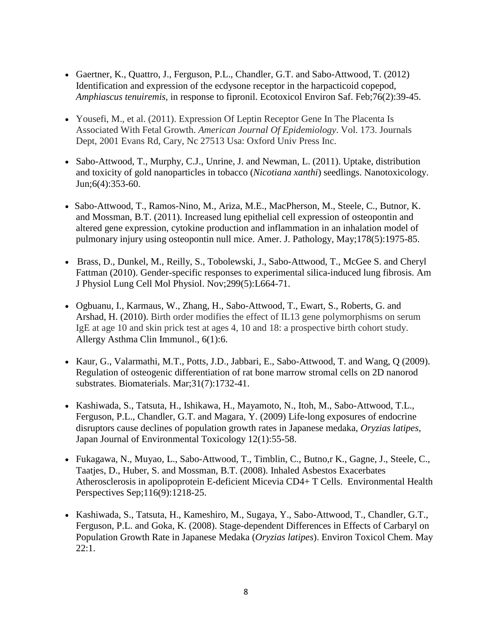- Gaertner, K., Quattro, J., Ferguson, P.L., Chandler, G.T. and Sabo-Attwood, T. (2012) Identification and expression of the ecdysone receptor in the harpacticoid copepod, *Amphiascus tenuiremis,* in response to fipronil. Ecotoxicol Environ Saf. Feb;76(2):39-45.
- Yousefi, M., et al. (2011). Expression Of Leptin Receptor Gene In The Placenta Is Associated With Fetal Growth. *American Journal Of Epidemiology*. Vol. 173. Journals Dept, 2001 Evans Rd, Cary, Nc 27513 Usa: Oxford Univ Press Inc.
- Sabo-Attwood, T., Murphy, C.J., Unrine, J. and Newman, L. (2011). Uptake, distribution and toxicity of gold nanoparticles in tobacco (*Nicotiana xanthi*) seedlings. Nanotoxicology. Jun;6(4):353-60.
- Sabo-Attwood, T., Ramos-Nino, M., Ariza, M.E., MacPherson, M., Steele, C., Butnor, K. and Mossman, B.T. (2011). Increased lung epithelial cell expression of osteopontin and altered gene expression, cytokine production and inflammation in an inhalation model of pulmonary injury using osteopontin null mice. Amer. J. Pathology, May;178(5):1975-85.
- Brass, D., Dunkel, M., Reilly, S., Tobolewski, J., Sabo-Attwood, T., McGee S. and Cheryl Fattman (2010). Gender-specific responses to experimental silica-induced lung fibrosis. Am J Physiol Lung Cell Mol Physiol. Nov;299(5):L664-71.
- Ogbuanu, I., Karmaus, W., Zhang, H., Sabo-Attwood, T., Ewart, S., Roberts, G. and Arshad, H. (2010). Birth order modifies the effect of IL13 gene polymorphisms on serum IgE at age 10 and skin prick test at ages 4, 10 and 18: a prospective birth cohort study. Allergy Asthma Clin Immunol., 6(1):6.
- [Kaur,](http://www.ncbi.nlm.nih.gov/pubmed?term=%22Kaur%20G%22%5BAuthor%5D&itool=EntrezSystem2.PEntrez.Pubmed.Pubmed_ResultsPanel.Pubmed_RVAbstract) G., [Valarmathi,](http://www.ncbi.nlm.nih.gov/pubmed?term=%22Valarmathi%20MT%22%5BAuthor%5D&itool=EntrezSystem2.PEntrez.Pubmed.Pubmed_ResultsPanel.Pubmed_RVAbstract) M.T., [Potts,](http://www.ncbi.nlm.nih.gov/pubmed?term=%22Potts%20JD%22%5BAuthor%5D&itool=EntrezSystem2.PEntrez.Pubmed.Pubmed_ResultsPanel.Pubmed_RVAbstract) J.D., [Jabbari,](http://www.ncbi.nlm.nih.gov/pubmed?term=%22Jabbari%20E%22%5BAuthor%5D&itool=EntrezSystem2.PEntrez.Pubmed.Pubmed_ResultsPanel.Pubmed_RVAbstract) E., [Sabo-Attwood,](http://www.ncbi.nlm.nih.gov/pubmed?term=%22Sabo-Attwood%20T%22%5BAuthor%5D&itool=EntrezSystem2.PEntrez.Pubmed.Pubmed_ResultsPanel.Pubmed_RVAbstract) T. and [Wang,](http://www.ncbi.nlm.nih.gov/pubmed?term=%22Wang%20Q%22%5BAuthor%5D&itool=EntrezSystem2.PEntrez.Pubmed.Pubmed_ResultsPanel.Pubmed_RVAbstract) Q (2009). Regulation of osteogenic differentiation of rat bone marrow stromal cells on 2D nanorod substrates. Biomaterials. Mar;31(7):1732-41.
- Kashiwada, S., Tatsuta, H., Ishikawa, H., Mayamoto, N., Itoh, M., Sabo-Attwood, T.L., Ferguson, P.L., Chandler, G.T. and Magara, Y. (2009) Life-long exposures of endocrine disruptors cause declines of population growth rates in Japanese medaka, *Oryzias latipes*, Japan Journal of Environmental Toxicology 12(1):55-58.
- Fukagawa, N., Muyao, L., Sabo-Attwood, T., Timblin, C., Butno,r K., Gagne, J., Steele, C., Taatjes, D., Huber, S. and Mossman, B.T. (2008). Inhaled Asbestos Exacerbates Atherosclerosis in apolipoprotein E-deficient Micevia CD4+ T Cells. Environmental Health Perspectives Sep;116(9):1218-25.
- [Kashiwada,](http://www.ncbi.nlm.nih.gov/sites/entrez?Db=pubmed&Cmd=Search&Term=%22Kashiwada%20S%22%5BAuthor%5D&itool=EntrezSystem2.PEntrez.Pubmed.Pubmed_ResultsPanel.Pubmed_DiscoveryPanel.Pubmed_RVAbstractPlus) S., [Tatsuta,](http://www.ncbi.nlm.nih.gov/sites/entrez?Db=pubmed&Cmd=Search&Term=%22Tatsuta%20H%22%5BAuthor%5D&itool=EntrezSystem2.PEntrez.Pubmed.Pubmed_ResultsPanel.Pubmed_DiscoveryPanel.Pubmed_RVAbstractPlus) H., [Kameshiro,](http://www.ncbi.nlm.nih.gov/sites/entrez?Db=pubmed&Cmd=Search&Term=%22Kameshiro%20M%22%5BAuthor%5D&itool=EntrezSystem2.PEntrez.Pubmed.Pubmed_ResultsPanel.Pubmed_DiscoveryPanel.Pubmed_RVAbstractPlus) M., [Sugaya,](http://www.ncbi.nlm.nih.gov/sites/entrez?Db=pubmed&Cmd=Search&Term=%22Sugaya%20Y%22%5BAuthor%5D&itool=EntrezSystem2.PEntrez.Pubmed.Pubmed_ResultsPanel.Pubmed_DiscoveryPanel.Pubmed_RVAbstractPlus) Y., [Sabo-Attwood,](http://www.ncbi.nlm.nih.gov/sites/entrez?Db=pubmed&Cmd=Search&Term=%22Sabo-Attwood%20TL%22%5BAuthor%5D&itool=EntrezSystem2.PEntrez.Pubmed.Pubmed_ResultsPanel.Pubmed_DiscoveryPanel.Pubmed_RVAbstractPlus) T., [Chandler,](http://www.ncbi.nlm.nih.gov/sites/entrez?Db=pubmed&Cmd=Search&Term=%22Chandler%20GT%22%5BAuthor%5D&itool=EntrezSystem2.PEntrez.Pubmed.Pubmed_ResultsPanel.Pubmed_DiscoveryPanel.Pubmed_RVAbstractPlus) G.T., [Ferguson,](http://www.ncbi.nlm.nih.gov/sites/entrez?Db=pubmed&Cmd=Search&Term=%22Ferguson%20PL%22%5BAuthor%5D&itool=EntrezSystem2.PEntrez.Pubmed.Pubmed_ResultsPanel.Pubmed_DiscoveryPanel.Pubmed_RVAbstractPlus) P.L. and [Goka,](http://www.ncbi.nlm.nih.gov/sites/entrez?Db=pubmed&Cmd=Search&Term=%22Goka%20K%22%5BAuthor%5D&itool=EntrezSystem2.PEntrez.Pubmed.Pubmed_ResultsPanel.Pubmed_DiscoveryPanel.Pubmed_RVAbstractPlus) K. (2008). Stage-dependent Differences in Effects of Carbaryl on Population Growth Rate in Japanese Medaka (*Oryzias latipes*). [Environ Toxicol Chem.](javascript:AL_get(this,%20) May 22:1.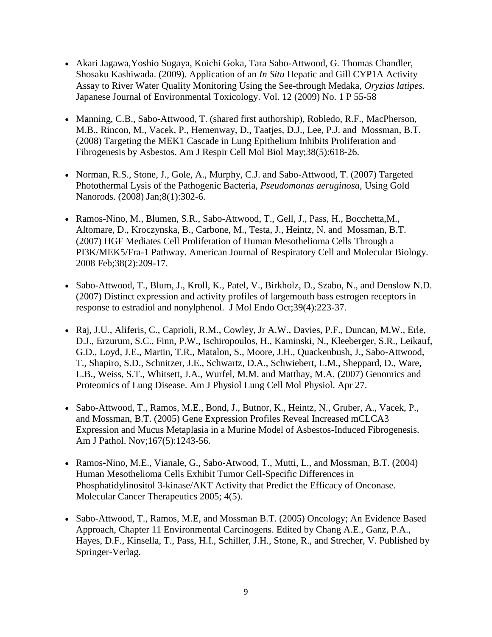- [Akari Jagawa](https://www.jstage.jst.go.jp/AF06S010ShsiKskGmnHyj?chshnmHkwtsh=Akari+Jagawa)[,Yoshio Sugaya,](https://www.jstage.jst.go.jp/AF06S010ShsiKskGmnHyj?chshnmHkwtsh=Yoshio+Sugaya) [Koichi Goka,](https://www.jstage.jst.go.jp/AF06S010ShsiKskGmnHyj?chshnmHkwtsh=Koichi+Goka) [Tara Sabo-Attwood,](https://www.jstage.jst.go.jp/AF06S010ShsiKskGmnHyj?chshnmHkwtsh=Tara+Sabo-Attwood) [G. Thomas Chandler,](https://www.jstage.jst.go.jp/AF06S010ShsiKskGmnHyj?chshnmHkwtsh=G.+Thomas+Chandler) [Shosaku Kashiwada.](https://www.jstage.jst.go.jp/AF06S010ShsiKskGmnHyj?chshnmHkwtsh=Shosaku+Kashiwada) (2009). Application of an *In Situ* Hepatic and Gill CYP1A Activity Assay to River Water Quality Monitoring Using the See-through Medaka, *Oryzias latipes.*  Japanese Journal of Environmental Toxicology. [Vol. 12](https://www.jstage.jst.go.jp/AF06S010SryTopHyj?sryCd=jset&noVol=12&noIssue=) (2009) [No. 1](https://www.jstage.jst.go.jp/AF06S010SryTopHyj?sryCd=jset&noVol=12&noIssue=1) P 55-58
- Manning, C.B., Sabo-Attwood, T. (shared first authorship), Robledo, R.F., MacPherson, M.B., Rincon, M., Vacek, P., Hemenway, D., Taatjes, D.J., Lee, P.J. and Mossman, B.T. (2008) Targeting the MEK1 Cascade in Lung Epithelium Inhibits Proliferation and Fibrogenesis by Asbestos. Am J Respir Cell Mol Biol May;38(5):618-26.
- Norman, R.S., Stone, J., Gole, A., Murphy, C.J. and Sabo-Attwood, T. (2007) Targeted Photothermal Lysis of the Pathogenic Bacteria, *Pseudomonas aeruginosa,* Using Gold Nanorods. (2008) Jan;8(1):302-6.
- Ramos-Nino, M., Blumen, S.R., Sabo-Attwood, T., Gell, J., Pass, H., Bocchetta,M., Altomare, D., Kroczynska, B., Carbone, M., Testa, J., Heintz, N. and Mossman, B.T. (2007) HGF Mediates Cell Proliferation of Human Mesothelioma Cells Through a PI3K/MEK5/Fra-1 Pathway. American Journal of Respiratory Cell and Molecular Biology. 2008 Feb;38(2):209-17.
- Sabo-Attwood, T., Blum, J., Kroll, K., Patel, V., Birkholz, D., Szabo, N., and Denslow N.D. (2007) Distinct expression and activity profiles of largemouth bass estrogen receptors in response to estradiol and nonylphenol. J Mol Endo Oct;39(4):223-37.
- [Raj,](http://www.ncbi.nlm.nih.gov/sites/entrez?Db=pubmed&Cmd=Search&Term=%22Raj%20JU%22%5BAuthor%5D&itool=EntrezSystem2.PEntrez.Pubmed.Pubmed_ResultsPanel.Pubmed_RVAbstractPlus) J.U., [Aliferis,](http://www.ncbi.nlm.nih.gov/sites/entrez?Db=pubmed&Cmd=Search&Term=%22Aliferis%20C%22%5BAuthor%5D&itool=EntrezSystem2.PEntrez.Pubmed.Pubmed_ResultsPanel.Pubmed_RVAbstractPlus) C., [Caprioli,](http://www.ncbi.nlm.nih.gov/sites/entrez?Db=pubmed&Cmd=Search&Term=%22Caprioli%20RM%22%5BAuthor%5D&itool=EntrezSystem2.PEntrez.Pubmed.Pubmed_ResultsPanel.Pubmed_RVAbstractPlus) R.M., [Cowley,](http://www.ncbi.nlm.nih.gov/sites/entrez?Db=pubmed&Cmd=Search&Term=%22Cowley%20Jr%20AW%22%5BAuthor%5D&itool=EntrezSystem2.PEntrez.Pubmed.Pubmed_ResultsPanel.Pubmed_RVAbstractPlus) Jr A.W., [Davies,](http://www.ncbi.nlm.nih.gov/sites/entrez?Db=pubmed&Cmd=Search&Term=%22Davies%20PF%22%5BAuthor%5D&itool=EntrezSystem2.PEntrez.Pubmed.Pubmed_ResultsPanel.Pubmed_RVAbstractPlus) P.F., [Duncan,](http://www.ncbi.nlm.nih.gov/sites/entrez?Db=pubmed&Cmd=Search&Term=%22Duncan%20MW%22%5BAuthor%5D&itool=EntrezSystem2.PEntrez.Pubmed.Pubmed_ResultsPanel.Pubmed_RVAbstractPlus) M.W., [Erle,](http://www.ncbi.nlm.nih.gov/sites/entrez?Db=pubmed&Cmd=Search&Term=%22Erle%20DJ%22%5BAuthor%5D&itool=EntrezSystem2.PEntrez.Pubmed.Pubmed_ResultsPanel.Pubmed_RVAbstractPlus) [D.J.](http://www.ncbi.nlm.nih.gov/sites/entrez?Db=pubmed&Cmd=Search&Term=%22Erle%20DJ%22%5BAuthor%5D&itool=EntrezSystem2.PEntrez.Pubmed.Pubmed_ResultsPanel.Pubmed_RVAbstractPlus), [Erzurum,](http://www.ncbi.nlm.nih.gov/sites/entrez?Db=pubmed&Cmd=Search&Term=%22Erzurum%20SC%22%5BAuthor%5D&itool=EntrezSystem2.PEntrez.Pubmed.Pubmed_ResultsPanel.Pubmed_RVAbstractPlus) S.C., [Finn,](http://www.ncbi.nlm.nih.gov/sites/entrez?Db=pubmed&Cmd=Search&Term=%22Finn%20PW%22%5BAuthor%5D&itool=EntrezSystem2.PEntrez.Pubmed.Pubmed_ResultsPanel.Pubmed_RVAbstractPlus) P.W., [Ischiropoulos,](http://www.ncbi.nlm.nih.gov/sites/entrez?Db=pubmed&Cmd=Search&Term=%22Ischiropoulos%20H%22%5BAuthor%5D&itool=EntrezSystem2.PEntrez.Pubmed.Pubmed_ResultsPanel.Pubmed_RVAbstractPlus) H., [Kaminski,](http://www.ncbi.nlm.nih.gov/sites/entrez?Db=pubmed&Cmd=Search&Term=%22Kaminski%20N%22%5BAuthor%5D&itool=EntrezSystem2.PEntrez.Pubmed.Pubmed_ResultsPanel.Pubmed_RVAbstractPlus) N., [Kleeberger,](http://www.ncbi.nlm.nih.gov/sites/entrez?Db=pubmed&Cmd=Search&Term=%22Kleeberger%20SR%22%5BAuthor%5D&itool=EntrezSystem2.PEntrez.Pubmed.Pubmed_ResultsPanel.Pubmed_RVAbstractPlus) S.R., [Leikauf,](http://www.ncbi.nlm.nih.gov/sites/entrez?Db=pubmed&Cmd=Search&Term=%22Leikauf%20GD%22%5BAuthor%5D&itool=EntrezSystem2.PEntrez.Pubmed.Pubmed_ResultsPanel.Pubmed_RVAbstractPlus) [G.D.](http://www.ncbi.nlm.nih.gov/sites/entrez?Db=pubmed&Cmd=Search&Term=%22Leikauf%20GD%22%5BAuthor%5D&itool=EntrezSystem2.PEntrez.Pubmed.Pubmed_ResultsPanel.Pubmed_RVAbstractPlus), [Loyd,](http://www.ncbi.nlm.nih.gov/sites/entrez?Db=pubmed&Cmd=Search&Term=%22Loyd%20JE%22%5BAuthor%5D&itool=EntrezSystem2.PEntrez.Pubmed.Pubmed_ResultsPanel.Pubmed_RVAbstractPlus) J.E., [Martin,](http://www.ncbi.nlm.nih.gov/sites/entrez?Db=pubmed&Cmd=Search&Term=%22Martin%20TR%22%5BAuthor%5D&itool=EntrezSystem2.PEntrez.Pubmed.Pubmed_ResultsPanel.Pubmed_RVAbstractPlus) T.R., [Matalon,](http://www.ncbi.nlm.nih.gov/sites/entrez?Db=pubmed&Cmd=Search&Term=%22Matalon%20S%22%5BAuthor%5D&itool=EntrezSystem2.PEntrez.Pubmed.Pubmed_ResultsPanel.Pubmed_RVAbstractPlus) S., [Moore,](http://www.ncbi.nlm.nih.gov/sites/entrez?Db=pubmed&Cmd=Search&Term=%22Moore%20JH%22%5BAuthor%5D&itool=EntrezSystem2.PEntrez.Pubmed.Pubmed_ResultsPanel.Pubmed_RVAbstractPlus) J.H., [Quackenbush,](http://www.ncbi.nlm.nih.gov/sites/entrez?Db=pubmed&Cmd=Search&Term=%22Quackenbush%20J%22%5BAuthor%5D&itool=EntrezSystem2.PEntrez.Pubmed.Pubmed_ResultsPanel.Pubmed_RVAbstractPlus) J., [Sabo-Attwood,](http://www.ncbi.nlm.nih.gov/sites/entrez?Db=pubmed&Cmd=Search&Term=%22Sabo-Attwood%20T%22%5BAuthor%5D&itool=EntrezSystem2.PEntrez.Pubmed.Pubmed_ResultsPanel.Pubmed_RVAbstractPlus) [T.](http://www.ncbi.nlm.nih.gov/sites/entrez?Db=pubmed&Cmd=Search&Term=%22Sabo-Attwood%20T%22%5BAuthor%5D&itool=EntrezSystem2.PEntrez.Pubmed.Pubmed_ResultsPanel.Pubmed_RVAbstractPlus), [Shapiro,](http://www.ncbi.nlm.nih.gov/sites/entrez?Db=pubmed&Cmd=Search&Term=%22Shapiro%20SD%22%5BAuthor%5D&itool=EntrezSystem2.PEntrez.Pubmed.Pubmed_ResultsPanel.Pubmed_RVAbstractPlus) S.D., [Schnitzer,](http://www.ncbi.nlm.nih.gov/sites/entrez?Db=pubmed&Cmd=Search&Term=%22Schnitzer%20JE%22%5BAuthor%5D&itool=EntrezSystem2.PEntrez.Pubmed.Pubmed_ResultsPanel.Pubmed_RVAbstractPlus) J.E., [Schwartz,](http://www.ncbi.nlm.nih.gov/sites/entrez?Db=pubmed&Cmd=Search&Term=%22Schwartz%20DA%22%5BAuthor%5D&itool=EntrezSystem2.PEntrez.Pubmed.Pubmed_ResultsPanel.Pubmed_RVAbstractPlus) D.A., [Schwiebert,](http://www.ncbi.nlm.nih.gov/sites/entrez?Db=pubmed&Cmd=Search&Term=%22Schwiebert%20LM%22%5BAuthor%5D&itool=EntrezSystem2.PEntrez.Pubmed.Pubmed_ResultsPanel.Pubmed_RVAbstractPlus) L.M., [Sheppard,](http://www.ncbi.nlm.nih.gov/sites/entrez?Db=pubmed&Cmd=Search&Term=%22Sheppard%20D%22%5BAuthor%5D&itool=EntrezSystem2.PEntrez.Pubmed.Pubmed_ResultsPanel.Pubmed_RVAbstractPlus) D., [Ware,](http://www.ncbi.nlm.nih.gov/sites/entrez?Db=pubmed&Cmd=Search&Term=%22Ware%20LB%22%5BAuthor%5D&itool=EntrezSystem2.PEntrez.Pubmed.Pubmed_ResultsPanel.Pubmed_RVAbstractPlus) [L.B.](http://www.ncbi.nlm.nih.gov/sites/entrez?Db=pubmed&Cmd=Search&Term=%22Ware%20LB%22%5BAuthor%5D&itool=EntrezSystem2.PEntrez.Pubmed.Pubmed_ResultsPanel.Pubmed_RVAbstractPlus), [Weiss,](http://www.ncbi.nlm.nih.gov/sites/entrez?Db=pubmed&Cmd=Search&Term=%22Weiss%20ST%22%5BAuthor%5D&itool=EntrezSystem2.PEntrez.Pubmed.Pubmed_ResultsPanel.Pubmed_RVAbstractPlus) S.T., [Whitsett,](http://www.ncbi.nlm.nih.gov/sites/entrez?Db=pubmed&Cmd=Search&Term=%22Whitsett%20JA%22%5BAuthor%5D&itool=EntrezSystem2.PEntrez.Pubmed.Pubmed_ResultsPanel.Pubmed_RVAbstractPlus) J.A., [Wurfel,](http://www.ncbi.nlm.nih.gov/sites/entrez?Db=pubmed&Cmd=Search&Term=%22Wurfel%20MM%22%5BAuthor%5D&itool=EntrezSystem2.PEntrez.Pubmed.Pubmed_ResultsPanel.Pubmed_RVAbstractPlus) M.M. and [Matthay,](http://www.ncbi.nlm.nih.gov/sites/entrez?Db=pubmed&Cmd=Search&Term=%22Matthay%20MA%22%5BAuthor%5D&itool=EntrezSystem2.PEntrez.Pubmed.Pubmed_ResultsPanel.Pubmed_RVAbstractPlus) M.A. (2007) Genomics and Proteomics of Lung Disease. [Am J Physiol Lung Cell Mol Physiol.](javascript:AL_get(this,%20) Apr 27.
- Sabo-Attwood, T., Ramos, M.E., Bond, J., Butnor, K., Heintz, N., Gruber, A., Vacek, P., and Mossman, B.T. (2005) Gene Expression Profiles Reveal Increased mCLCA3 Expression and Mucus Metaplasia in a Murine Model of Asbestos-Induced Fibrogenesis. Am J Pathol. Nov;167(5):1243-56.
- Ramos-Nino, M.E., Vianale, G., Sabo-Atwood, T., Mutti, L., and Mossman, B.T. (2004) Human Mesothelioma Cells Exhibit Tumor Cell-Specific Differences in Phosphatidylinositol 3-kinase/AKT Activity that Predict the Efficacy of Onconase. Molecular Cancer Therapeutics 2005; 4(5).
- Sabo-Attwood, T., Ramos, M.E., and Mossman B.T. (2005) Oncology; An Evidence Based Approach, Chapter 11 Environmental Carcinogens. Edited by Chang A.E., Ganz, P.A., Hayes, D.F., Kinsella, T., Pass, H.I., Schiller, J.H., Stone, R., and Strecher, V. Published by Springer-Verlag.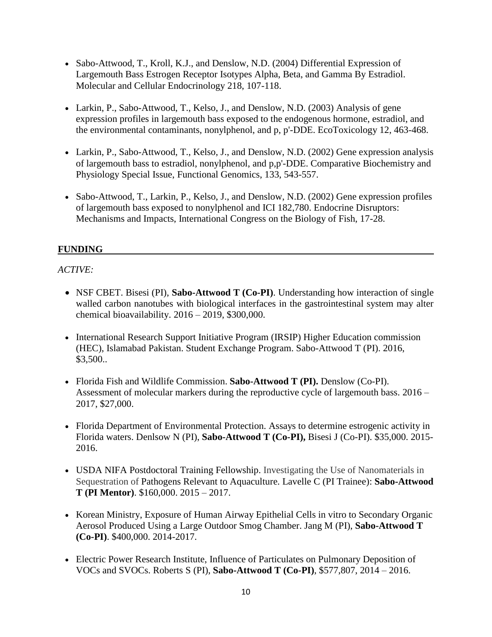- Sabo-Attwood, T., Kroll, K.J., and Denslow, N.D. (2004) Differential Expression of Largemouth Bass Estrogen Receptor Isotypes Alpha, Beta, and Gamma By Estradiol. Molecular and Cellular Endocrinology 218, 107-118.
- Larkin, P., Sabo-Attwood, T., Kelso, J., and Denslow, N.D. (2003) Analysis of gene expression profiles in largemouth bass exposed to the endogenous hormone, estradiol, and the environmental contaminants, nonylphenol, and p, p'-DDE. EcoToxicology 12, 463-468.
- Larkin, P., Sabo-Attwood, T., Kelso, J., and Denslow, N.D. (2002) Gene expression analysis of largemouth bass to estradiol, nonylphenol, and p,p'-DDE. Comparative Biochemistry and Physiology Special Issue, Functional Genomics, 133, 543-557.
- Sabo-Attwood, T., Larkin, P., Kelso, J., and Denslow, N.D. (2002) Gene expression profiles of largemouth bass exposed to nonylphenol and ICI 182,780. Endocrine Disruptors: Mechanisms and Impacts, International Congress on the Biology of Fish, 17-28.

# **FUNDING**

#### *ACTIVE:*

- NSF CBET. Bisesi (PI), Sabo-Attwood T (Co-PI). Understanding how interaction of single walled carbon nanotubes with biological interfaces in the gastrointestinal system may alter chemical bioavailability. 2016 – 2019, \$300,000.
- International Research Support Initiative Program (IRSIP) Higher Education commission (HEC), Islamabad Pakistan. Student Exchange Program. Sabo-Attwood T (PI). 2016, \$3,500..
- Florida Fish and Wildlife Commission. **Sabo-Attwood T (PI).** Denslow (Co-PI). Assessment of molecular markers during the reproductive cycle of largemouth bass. 2016 – 2017, \$27,000.
- Florida Department of Environmental Protection. Assays to determine estrogenic activity in Florida waters. Denlsow N (PI), **Sabo-Attwood T (Co-PI),** Bisesi J (Co-PI). \$35,000. 2015- 2016.
- USDA NIFA Postdoctoral Training Fellowship. Investigating the Use of Nanomaterials in Sequestration of Pathogens Relevant to Aquaculture. Lavelle C (PI Trainee): **Sabo-Attwood T (PI Mentor)**. \$160,000. 2015 – 2017.
- Korean Ministry, Exposure of Human Airway Epithelial Cells in vitro to Secondary Organic Aerosol Produced Using a Large Outdoor Smog Chamber. Jang M (PI), **Sabo-Attwood T (Co-PI)**. \$400,000. 2014-2017.
- Electric Power Research Institute, Influence of Particulates on Pulmonary Deposition of VOCs and SVOCs. Roberts S (PI), **Sabo-Attwood T (Co-PI)**, \$577,807, 2014 – 2016.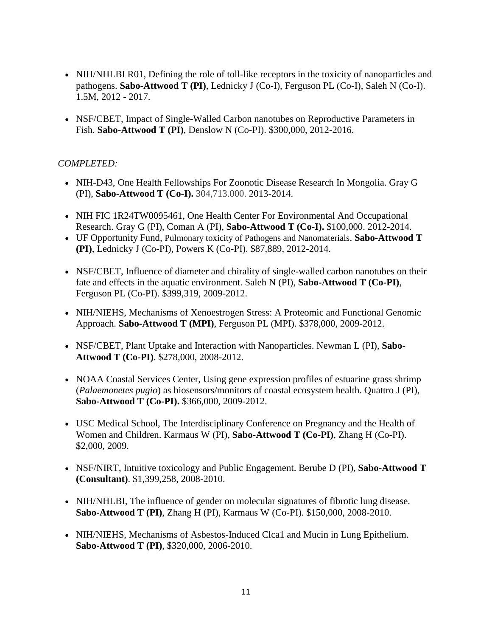- NIH/NHLBI R01, Defining the role of toll-like receptors in the toxicity of nanoparticles and pathogens. **Sabo-Attwood T (PI)**, Lednicky J (Co-I), Ferguson PL (Co-I), Saleh N (Co-I). 1.5M, 2012 - 2017.
- NSF/CBET, Impact of Single-Walled Carbon nanotubes on Reproductive Parameters in Fish. **Sabo-Attwood T (PI)**, Denslow N (Co-PI). \$300,000, 2012-2016.

# *COMPLETED:*

- NIH-D43, One Health Fellowships For Zoonotic Disease Research In Mongolia. Gray G (PI), **Sabo-Attwood T (Co-I).** 304,713.000. 2013-2014.
- NIH FIC 1R24TW0095461, One Health Center For Environmental And Occupational Research. Gray G (PI), Coman A (PI), **Sabo-Attwood T (Co-I).** \$100,000. 2012-2014.
- UF Opportunity Fund, Pulmonary toxicity of Pathogens and Nanomaterials. **Sabo-Attwood T (PI)**, Lednicky J (Co-PI), Powers K (Co-PI). \$87,889, 2012-2014.
- NSF/CBET, Influence of diameter and chirality of single-walled carbon nanotubes on their fate and effects in the aquatic environment. Saleh N (PI), **Sabo-Attwood T (Co-PI)**, Ferguson PL (Co-PI). \$399,319, 2009-2012.
- NIH/NIEHS, Mechanisms of Xenoestrogen Stress: A Proteomic and Functional Genomic Approach. **Sabo-Attwood T (MPI)**, Ferguson PL (MPI). \$378,000, 2009-2012.
- NSF/CBET, Plant Uptake and Interaction with Nanoparticles. Newman L (PI), **Sabo-Attwood T (Co-PI)**. \$278,000, 2008-2012.
- NOAA Coastal Services Center, Using gene expression profiles of estuarine grass shrimp (*Palaemonetes pugio*) as biosensors/monitors of coastal ecosystem health. Quattro J (PI), **Sabo-Attwood T (Co-PI).** \$366,000, 2009-2012.
- USC Medical School, The Interdisciplinary Conference on Pregnancy and the Health of Women and Children. Karmaus W (PI), **Sabo-Attwood T (Co-PI)**, Zhang H (Co-PI). \$2,000, 2009.
- NSF/NIRT, Intuitive toxicology and Public Engagement. Berube D (PI), Sabo-Attwood T **(Consultant)**. \$1,399,258, 2008-2010.
- NIH/NHLBI, The influence of gender on molecular signatures of fibrotic lung disease. **Sabo-Attwood T (PI)**, Zhang H (PI), Karmaus W (Co-PI). \$150,000, 2008-2010.
- NIH/NIEHS, Mechanisms of Asbestos-Induced Clca1 and Mucin in Lung Epithelium. **Sabo-Attwood T (PI)**, \$320,000, 2006-2010.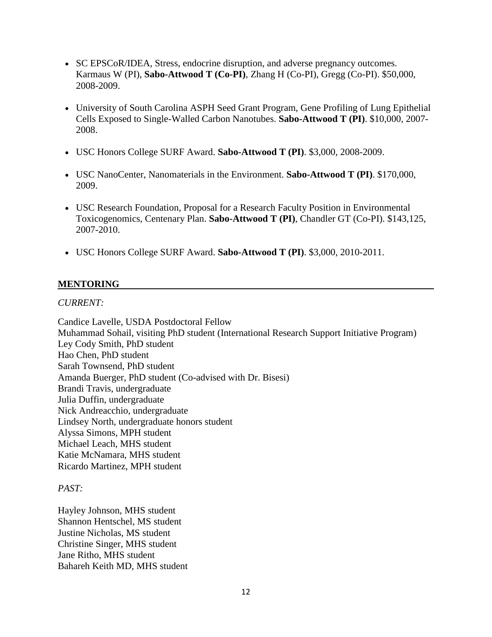- SC EPSCoR/IDEA, Stress, endocrine disruption, and adverse pregnancy outcomes. Karmaus W (PI), **Sabo-Attwood T (Co-PI)**, Zhang H (Co-PI), Gregg (Co-PI). \$50,000, 2008-2009.
- University of South Carolina ASPH Seed Grant Program, Gene Profiling of Lung Epithelial Cells Exposed to Single-Walled Carbon Nanotubes. **Sabo-Attwood T (PI)**. \$10,000, 2007- 2008.
- USC Honors College SURF Award. **Sabo-Attwood T (PI)**. \$3,000, 2008-2009.
- USC NanoCenter, Nanomaterials in the Environment. **Sabo-Attwood T (PI)**. \$170,000, 2009.
- USC Research Foundation, Proposal for a Research Faculty Position in Environmental Toxicogenomics, Centenary Plan. **Sabo-Attwood T (PI)**, Chandler GT (Co-PI). \$143,125, 2007-2010.
- USC Honors College SURF Award. **Sabo-Attwood T (PI)**. \$3,000, 2010-2011.

#### **MENTORING**

#### *CURRENT:*

Candice Lavelle, USDA Postdoctoral Fellow Muhammad Sohail, visiting PhD student (International Research Support Initiative Program) Ley Cody Smith, PhD student Hao Chen, PhD student Sarah Townsend, PhD student Amanda Buerger, PhD student (Co-advised with Dr. Bisesi) Brandi Travis, undergraduate Julia Duffin, undergraduate Nick Andreacchio, undergraduate Lindsey North, undergraduate honors student Alyssa Simons, MPH student Michael Leach, MHS student Katie McNamara, MHS student Ricardo Martinez, MPH student

#### *PAST:*

Hayley Johnson, MHS student Shannon Hentschel, MS student Justine Nicholas, MS student Christine Singer, MHS student Jane Ritho, MHS student Bahareh Keith MD, MHS student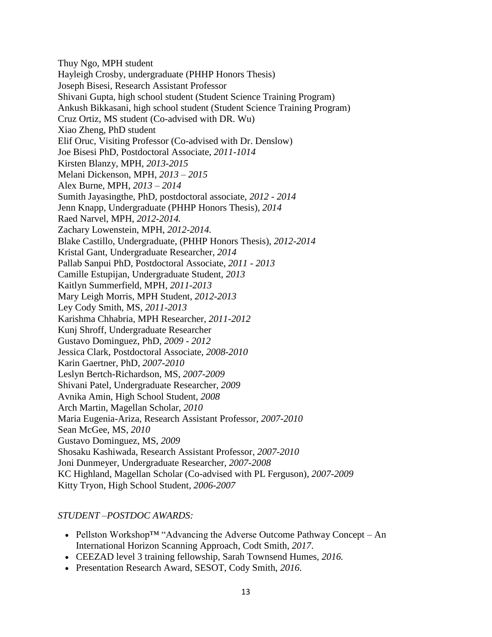Thuy Ngo, MPH student Hayleigh Crosby, undergraduate (PHHP Honors Thesis) Joseph Bisesi, Research Assistant Professor Shivani Gupta, high school student (Student Science Training Program) Ankush Bikkasani, high school student (Student Science Training Program) Cruz Ortiz, MS student (Co-advised with DR. Wu) Xiao Zheng, PhD student Elif Oruc, Visiting Professor (Co-advised with Dr. Denslow) Joe Bisesi PhD, Postdoctoral Associate, *2011-1014* Kirsten Blanzy, MPH, *2013-2015* Melani Dickenson, MPH, *2013 – 2015* Alex Burne, MPH, *2013 – 2014* Sumith Jayasingthe, PhD, postdoctoral associate, *2012 - 2014* Jenn Knapp, Undergraduate (PHHP Honors Thesis), *2014* Raed Narvel, MPH, *2012-2014.* Zachary Lowenstein, MPH, *2012-2014.* Blake Castillo, Undergraduate, (PHHP Honors Thesis), *2012-2014* Kristal Gant, Undergraduate Researcher, *2014* Pallab Sanpui PhD, Postdoctoral Associate, *2011 - 2013* Camille Estupijan, Undergraduate Student, *2013* Kaitlyn Summerfield, MPH, *2011-2013* Mary Leigh Morris, MPH Student, *2012-2013* Ley Cody Smith, MS, *2011-2013* Karishma Chhabria, MPH Researcher, *2011-2012* Kunj Shroff, Undergraduate Researcher Gustavo Dominguez, PhD, *2009 - 2012* Jessica Clark, Postdoctoral Associate, *2008-2010* Karin Gaertner, PhD, *2007-2010* Leslyn Bertch-Richardson, MS, *2007-2009* Shivani Patel, Undergraduate Researcher, *2009* Avnika Amin, High School Student, *2008* Arch Martin, Magellan Scholar, *2010* Maria Eugenia-Ariza, Research Assistant Professor, *2007-2010* Sean McGee, MS, *2010* Gustavo Dominguez, MS, *2009* Shosaku Kashiwada, Research Assistant Professor, *2007-2010* Joni Dunmeyer, Undergraduate Researcher, *2007-2008* KC Highland, Magellan Scholar (Co-advised with PL Ferguson), *2007-2009* Kitty Tryon, High School Student, *2006-2007*

#### *STUDENT –POSTDOC AWARDS:*

- Pellston Workshop™ "Advancing the Adverse Outcome Pathway Concept An International Horizon Scanning Approach, Codt Smith, *2017*.
- CEEZAD level 3 training fellowship, Sarah Townsend Humes, *2016.*
- Presentation Research Award, SESOT, Cody Smith, *2016.*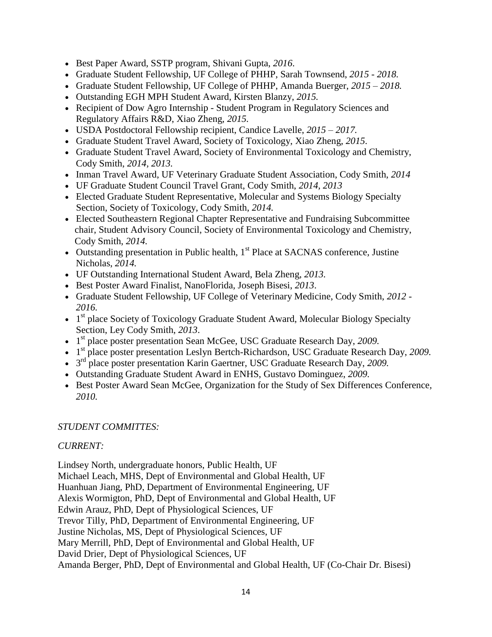- Best Paper Award, SSTP program, Shivani Gupta, *2016*.
- Graduate Student Fellowship, UF College of PHHP, Sarah Townsend, *2015 - 2018.*
- Graduate Student Fellowship, UF College of PHHP, Amanda Buerger, *2015 – 2018.*
- Outstanding EGH MPH Student Award, Kirsten Blanzy, *2015.*
- Recipient of Dow Agro Internship Student Program in Regulatory Sciences and Regulatory Affairs R&D, Xiao Zheng, *2015.*
- USDA Postdoctoral Fellowship recipient, Candice Lavelle, *2015 – 2017.*
- Graduate Student Travel Award, Society of Toxicology, Xiao Zheng, *2015.*
- Graduate Student Travel Award, Society of Environmental Toxicology and Chemistry, Cody Smith, *2014, 2013.*
- Inman Travel Award, UF Veterinary Graduate Student Association, Cody Smith, *2014*
- UF Graduate Student Council Travel Grant, Cody Smith, *2014, 2013*
- Elected Graduate Student Representative, Molecular and Systems Biology Specialty Section, Society of Toxicology, Cody Smith, *2014.*
- Elected Southeastern Regional Chapter Representative and Fundraising Subcommittee chair, Student Advisory Council, Society of Environmental Toxicology and Chemistry, Cody Smith, *2014.*
- Outstanding presentation in Public health,  $1<sup>st</sup>$  Place at SACNAS conference, Justine Nicholas, *2014.*
- UF Outstanding International Student Award, Bela Zheng, *2013.*
- Best Poster Award Finalist, NanoFlorida, Joseph Bisesi, *2013*.
- Graduate Student Fellowship, UF College of Veterinary Medicine, Cody Smith, *2012 - 2016.*
- 1<sup>st</sup> place Society of Toxicology Graduate Student Award, Molecular Biology Specialty Section, Ley Cody Smith, *2013*.
- 1 st place poster presentation Sean McGee, USC Graduate Research Day, *2009.*
- 1 st place poster presentation Leslyn Bertch-Richardson, USC Graduate Research Day, *2009.*
- 3 rd place poster presentation Karin Gaertner, USC Graduate Research Day, *2009.*
- Outstanding Graduate Student Award in ENHS, Gustavo Dominguez, *2009.*
- Best Poster Award Sean McGee, Organization for the Study of Sex Differences Conference*, 2010.*

#### *STUDENT COMMITTES:*

#### *CURRENT:*

Lindsey North, undergraduate honors, Public Health, UF Michael Leach, MHS, Dept of Environmental and Global Health, UF Huanhuan Jiang, PhD, Department of Environmental Engineering, UF Alexis Wormigton, PhD, Dept of Environmental and Global Health, UF Edwin Arauz, PhD, Dept of Physiological Sciences, UF Trevor Tilly, PhD, Department of Environmental Engineering, UF Justine Nicholas, MS, Dept of Physiological Sciences, UF Mary Merrill, PhD, Dept of Environmental and Global Health, UF David Drier, Dept of Physiological Sciences, UF Amanda Berger, PhD, Dept of Environmental and Global Health, UF (Co-Chair Dr. Bisesi)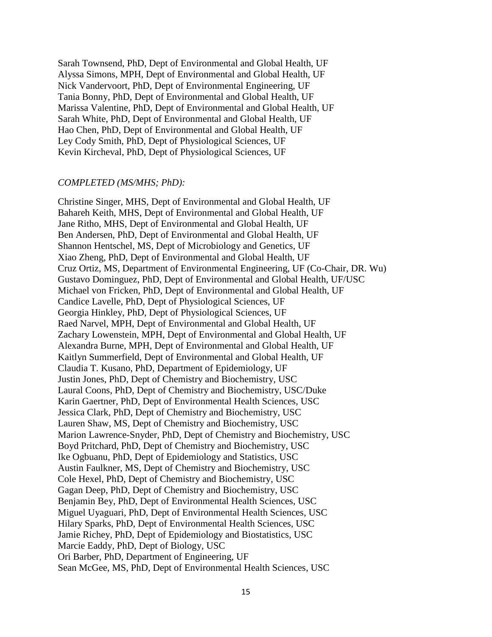Sarah Townsend, PhD, Dept of Environmental and Global Health, UF Alyssa Simons, MPH, Dept of Environmental and Global Health, UF Nick Vandervoort, PhD, Dept of Environmental Engineering, UF Tania Bonny, PhD, Dept of Environmental and Global Health, UF Marissa Valentine, PhD, Dept of Environmental and Global Health, UF Sarah White, PhD, Dept of Environmental and Global Health, UF Hao Chen, PhD, Dept of Environmental and Global Health, UF Ley Cody Smith, PhD, Dept of Physiological Sciences, UF Kevin Kircheval, PhD, Dept of Physiological Sciences, UF

#### *COMPLETED (MS/MHS; PhD):*

Christine Singer, MHS, Dept of Environmental and Global Health, UF Bahareh Keith, MHS, Dept of Environmental and Global Health, UF Jane Ritho, MHS, Dept of Environmental and Global Health, UF Ben Andersen, PhD, Dept of Environmental and Global Health, UF Shannon Hentschel, MS, Dept of Microbiology and Genetics, UF Xiao Zheng, PhD, Dept of Environmental and Global Health, UF Cruz Ortiz, MS, Department of Environmental Engineering, UF (Co-Chair, DR. Wu) Gustavo Dominguez, PhD, Dept of Environmental and Global Health, UF/USC Michael von Fricken, PhD, Dept of Environmental and Global Health, UF Candice Lavelle, PhD, Dept of Physiological Sciences, UF Georgia Hinkley, PhD, Dept of Physiological Sciences, UF Raed Narvel, MPH, Dept of Environmental and Global Health, UF Zachary Lowenstein, MPH, Dept of Environmental and Global Health, UF Alexandra Burne, MPH, Dept of Environmental and Global Health, UF Kaitlyn Summerfield, Dept of Environmental and Global Health, UF Claudia T. Kusano, PhD, Department of Epidemiology, UF Justin Jones, PhD, Dept of Chemistry and Biochemistry, USC Laural Coons, PhD, Dept of Chemistry and Biochemistry, USC/Duke Karin Gaertner, PhD, Dept of Environmental Health Sciences, USC Jessica Clark, PhD, Dept of Chemistry and Biochemistry, USC Lauren Shaw, MS, Dept of Chemistry and Biochemistry, USC [Marion Lawrence-Snyder,](http://www.chem.sc.edu/analytical/angel/students/MLSnyder.html) PhD, Dept of Chemistry and Biochemistry, USC Boyd Pritchard, PhD, Dept of Chemistry and Biochemistry, USC Ike Ogbuanu, PhD, Dept of Epidemiology and Statistics, USC Austin Faulkner, MS, Dept of Chemistry and Biochemistry, USC Cole Hexel, PhD, Dept of Chemistry and Biochemistry, USC Gagan Deep, PhD, Dept of Chemistry and Biochemistry, USC Benjamin Bey, PhD, Dept of Environmental Health Sciences, USC Miguel Uyaguari, PhD, Dept of Environmental Health Sciences, USC Hilary Sparks, PhD, Dept of Environmental Health Sciences, USC Jamie Richey, PhD, Dept of Epidemiology and Biostatistics, USC Marcie Eaddy, PhD, Dept of Biology, USC Ori Barber, PhD, Department of Engineering, UF Sean McGee, MS, PhD, Dept of Environmental Health Sciences, USC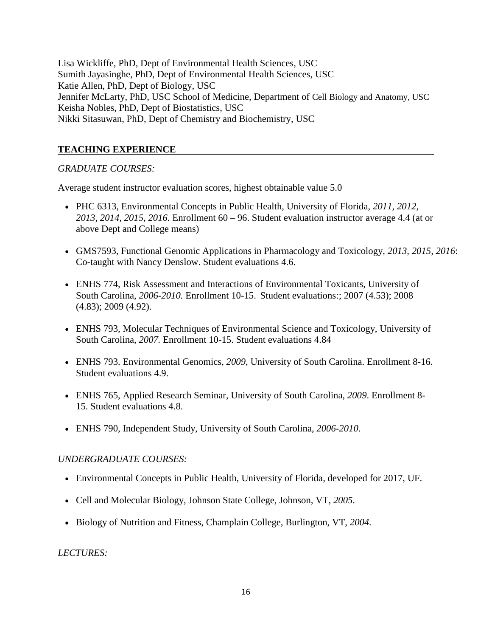Lisa Wickliffe, PhD, Dept of Environmental Health Sciences, USC Sumith Jayasinghe, PhD, Dept of Environmental Health Sciences, USC Katie Allen, PhD, Dept of Biology, USC Jennifer McLarty, PhD, USC School of Medicine, Department of Cell Biology and Anatomy, USC Keisha Nobles, PhD, Dept of Biostatistics, USC Nikki Sitasuwan, PhD, Dept of Chemistry and Biochemistry, USC

# **TEACHING EXPERIENCE**

# *GRADUATE COURSES:*

Average student instructor evaluation scores, highest obtainable value 5.0

- PHC 6313, Environmental Concepts in Public Health, University of Florida, *2011, 2012, 2013, 2014, 2015, 2016.* Enrollment 60 – 96. Student evaluation instructor average 4.4 (at or above Dept and College means)
- GMS7593, Functional Genomic Applications in Pharmacology and Toxicology, *2013, 2015, 2016*: Co-taught with Nancy Denslow. Student evaluations 4.6.
- ENHS 774, Risk Assessment and Interactions of Environmental Toxicants, University of South Carolina, *2006-2010.* Enrollment 10-15. Student evaluations:; 2007 (4.53); 2008 (4.83); 2009 (4.92).
- ENHS 793, Molecular Techniques of Environmental Science and Toxicology, University of South Carolina, *2007.* Enrollment 10-15. Student evaluations 4.84
- ENHS 793. Environmental Genomics, *2009*, University of South Carolina. Enrollment 8-16. Student evaluations 4.9.
- ENHS 765, Applied Research Seminar, University of South Carolina, *2009*. Enrollment 8- 15. Student evaluations 4.8.
- ENHS 790, Independent Study, University of South Carolina, *2006-2010*.

# *UNDERGRADUATE COURSES:*

- Environmental Concepts in Public Health, University of Florida, developed for 2017, UF.
- Cell and Molecular Biology, Johnson State College, Johnson, VT, *2005*.
- Biology of Nutrition and Fitness, Champlain College, Burlington, VT, *2004.*

*LECTURES:*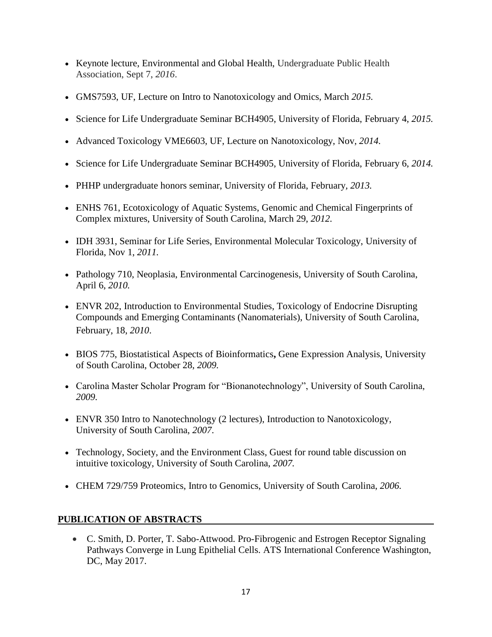- Keynote lecture, Environmental and Global Health, Undergraduate Public Health Association, Sept 7, *2016*.
- GMS7593, UF, Lecture on Intro to Nanotoxicology and Omics, March *2015.*
- Science for Life Undergraduate Seminar BCH4905, University of Florida, February 4, *2015.*
- Advanced Toxicology VME6603, UF, Lecture on Nanotoxicology, Nov, *2014.*
- Science for Life Undergraduate Seminar BCH4905, University of Florida, February 6, *2014.*
- PHHP undergraduate honors seminar, University of Florida, February*, 2013.*
- ENHS 761, Ecotoxicology of Aquatic Systems, Genomic and Chemical Fingerprints of Complex mixtures, University of South Carolina, March 29, *2012.*
- IDH 3931, Seminar for Life Series, Environmental Molecular Toxicology, University of Florida, Nov 1, *2011.*
- Pathology 710, Neoplasia, Environmental Carcinogenesis, University of South Carolina, April 6, *2010.*
- ENVR 202, Introduction to Environmental Studies, Toxicology of Endocrine Disrupting Compounds and Emerging Contaminants (Nanomaterials), University of South Carolina, February, 18, *2010*.
- BIOS 775, Biostatistical Aspects of Bioinformatics**,** Gene Expression Analysis, University of South Carolina, October 28, *2009.*
- Carolina Master Scholar Program for "Bionanotechnology", University of South Carolina, *2009.*
- ENVR 350 Intro to Nanotechnology (2 lectures), Introduction to Nanotoxicology, University of South Carolina, *2007*.
- Technology, Society, and the Environment Class, Guest for round table discussion on intuitive toxicology, University of South Carolina, *2007.*
- CHEM 729/759 Proteomics, Intro to Genomics, University of South Carolina, *2006.*

# **PUBLICATION OF ABSTRACTS**

 C. Smith, D. Porter, T. Sabo-Attwood. Pro-Fibrogenic and Estrogen Receptor Signaling Pathways Converge in Lung Epithelial Cells. ATS International Conference Washington, DC, May 2017.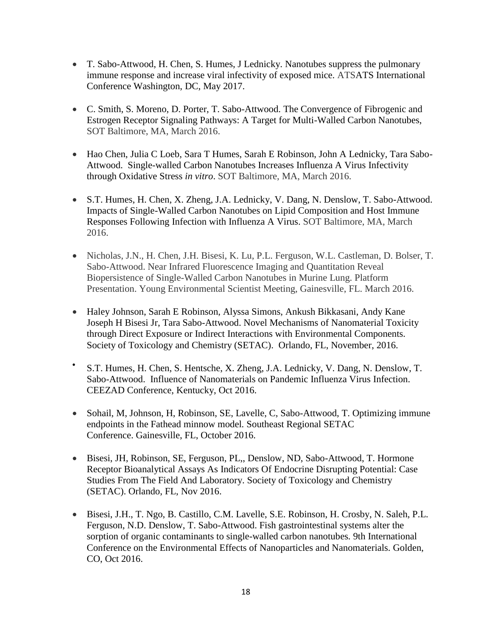- T. Sabo-Attwood, H. Chen, S. Humes, J Lednicky. Nanotubes suppress the pulmonary immune response and increase viral infectivity of exposed mice. ATSATS International Conference Washington, DC, May 2017.
- C. Smith, S. Moreno, D. Porter, T. Sabo-Attwood. The Convergence of Fibrogenic and Estrogen Receptor Signaling Pathways: A Target for Multi-Walled Carbon Nanotubes, SOT Baltimore, MA, March 2016.
- Hao Chen, Julia C Loeb, Sara T Humes, Sarah E Robinson, John A Lednicky, Tara Sabo-Attwood. Single-walled Carbon Nanotubes Increases Influenza A Virus Infectivity through Oxidative Stress *in vitro*. SOT Baltimore, MA, March 2016.
- S.T. Humes, H. Chen, X. Zheng, J.A. Lednicky, V. Dang, N. Denslow, T. Sabo-Attwood. Impacts of Single-Walled Carbon Nanotubes on Lipid Composition and Host Immune Responses Following Infection with Influenza A Virus. SOT Baltimore, MA, March 2016.
- Nicholas, J.N., H. Chen, J.H. Bisesi, K. Lu, P.L. Ferguson, W.L. Castleman, D. Bolser, T. Sabo-Attwood. Near Infrared Fluorescence Imaging and Quantitation Reveal Biopersistence of Single-Walled Carbon Nanotubes in Murine Lung. Platform Presentation. Young Environmental Scientist Meeting, Gainesville, FL. March 2016.
- Haley Johnson, Sarah E Robinson, Alyssa Simons, Ankush Bikkasani, Andy Kane Joseph H Bisesi Jr, Tara Sabo-Attwood. Novel Mechanisms of Nanomaterial Toxicity through Direct Exposure or Indirect Interactions with Environmental Components*.* Society of Toxicology and Chemistry (SETAC). Orlando, FL, November, 2016.
- $\bullet$ S.T. Humes, H. Chen, S. Hentsche, X. Zheng, J.A. Lednicky, V. Dang, N. Denslow, T. Sabo-Attwood. Influence of Nanomaterials on Pandemic Influenza Virus Infection. CEEZAD Conference, Kentucky, Oct 2016.
- Sohail, M, Johnson, H, Robinson, SE, Lavelle, C, Sabo-Attwood, T. Optimizing immune endpoints in the Fathead minnow model*.* Southeast Regional SETAC Conference. Gainesville, FL, October 2016.
- Bisesi, JH, Robinson, SE, Ferguson, PL,, Denslow, ND, Sabo-Attwood, T. Hormone Receptor Bioanalytical Assays As Indicators Of Endocrine Disrupting Potential: Case Studies From The Field And Laboratory. Society of Toxicology and Chemistry (SETAC). Orlando, FL, Nov 2016.
- Bisesi, J.H., T. Ngo, B. Castillo, C.M. Lavelle, S.E. Robinson, H. Crosby, N. Saleh, P.L. Ferguson, N.D. Denslow, T. Sabo-Attwood. Fish gastrointestinal systems alter the sorption of organic contaminants to single-walled carbon nanotubes*.* 9th International Conference on the Environmental Effects of Nanoparticles and Nanomaterials. Golden, CO, Oct 2016.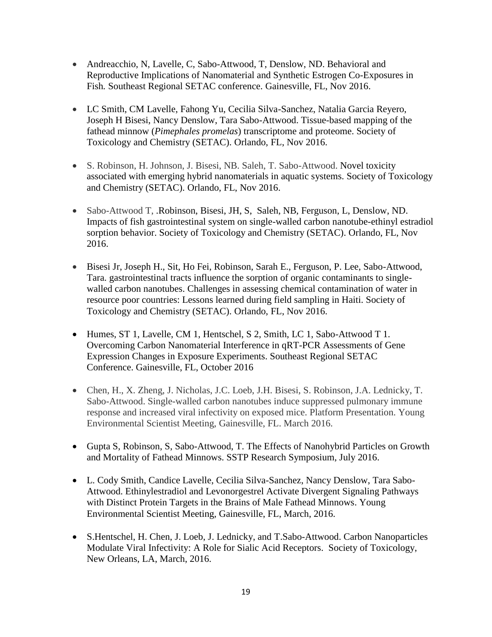- Andreacchio, N, Lavelle, C, Sabo-Attwood, T, Denslow, ND. Behavioral and Reproductive Implications of Nanomaterial and Synthetic Estrogen Co-Exposures in Fish*.* Southeast Regional SETAC conference. Gainesville, FL, Nov 2016.
- LC Smith, CM Lavelle, Fahong Yu, Cecilia Silva-Sanchez, Natalia Garcia Reyero, Joseph H Bisesi, Nancy Denslow, Tara Sabo-Attwood. Tissue-based mapping of the fathead minnow (*Pimephales promelas*) transcriptome and proteome. Society of Toxicology and Chemistry (SETAC). Orlando, FL, Nov 2016.
- S. Robinson, H. Johnson, J. Bisesi, NB. Saleh, T. Sabo-Attwood. Novel toxicity associated with emerging hybrid nanomaterials in aquatic systems. Society of Toxicology and Chemistry (SETAC). Orlando, FL, Nov 2016.
- Sabo-Attwood T, .Robinson, Bisesi, JH, S, Saleh, NB, Ferguson, L, Denslow, ND. Impacts of fish gastrointestinal system on single-walled carbon nanotube-ethinyl estradiol sorption behavior. Society of Toxicology and Chemistry (SETAC). Orlando, FL, Nov 2016.
- Bisesi Jr, Joseph H., Sit, Ho Fei, Robinson, Sarah E., Ferguson, P. Lee, Sabo-Attwood, Tara. gastrointestinal tracts influence the sorption of organic contaminants to singlewalled carbon nanotubes. Challenges in assessing chemical contamination of water in resource poor countries: Lessons learned during field sampling in Haiti. Society of Toxicology and Chemistry (SETAC). Orlando, FL, Nov 2016.
- Humes, ST 1, Lavelle, CM 1, Hentschel, S 2, Smith, LC 1, Sabo-Attwood T 1. Overcoming Carbon Nanomaterial Interference in qRT-PCR Assessments of Gene Expression Changes in Exposure Experiments. Southeast Regional SETAC Conference. Gainesville, FL, October 2016
- Chen, H., X. Zheng, J. Nicholas, J.C. Loeb, J.H. Bisesi, S. Robinson, J.A. Lednicky, T. Sabo-Attwood. Single-walled carbon nanotubes induce suppressed pulmonary immune response and increased viral infectivity on exposed mice. Platform Presentation. Young Environmental Scientist Meeting, Gainesville, FL. March 2016.
- Gupta S, Robinson, S, Sabo-Attwood, T. The Effects of Nanohybrid Particles on Growth and Mortality of Fathead Minnows. SSTP Research Symposium, July 2016.
- L. Cody Smith, Candice Lavelle, Cecilia Silva-Sanchez, Nancy Denslow, Tara Sabo-Attwood. Ethinylestradiol and Levonorgestrel Activate Divergent Signaling Pathways with Distinct Protein Targets in the Brains of Male Fathead Minnows. Young Environmental Scientist Meeting, Gainesville, FL, March, 2016.
- S.Hentschel, H. Chen, J. Loeb, J. Lednicky, and T.Sabo-Attwood. Carbon Nanoparticles Modulate Viral Infectivity: A Role for Sialic Acid Receptors. Society of Toxicology, New Orleans, LA, March, 2016.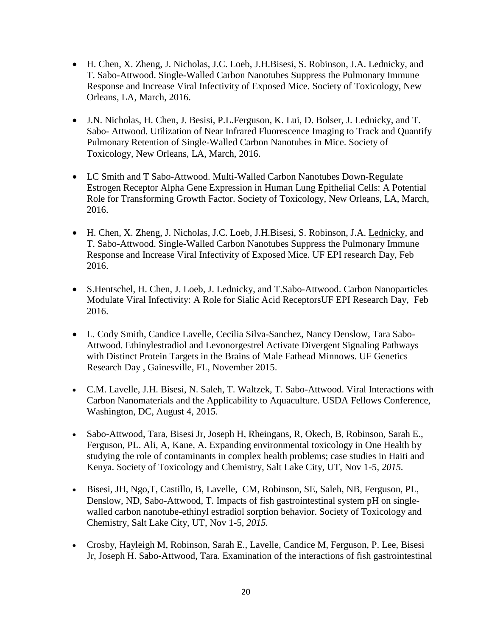- H. Chen, X. Zheng, J. Nicholas, J.C. Loeb, J.H.Bisesi, S. Robinson, J.A. Lednicky, and T. Sabo-Attwood. Single-Walled Carbon Nanotubes Suppress the Pulmonary Immune Response and Increase Viral Infectivity of Exposed Mice. Society of Toxicology, New Orleans, LA, March, 2016.
- J.N. Nicholas, H. Chen, J. Besisi, P.L.Ferguson, K. Lui, D. Bolser, J. Lednicky, and T. Sabo- Attwood. Utilization of Near Infrared Fluorescence Imaging to Track and Quantify Pulmonary Retention of Single-Walled Carbon Nanotubes in Mice. Society of Toxicology, New Orleans, LA, March, 2016.
- LC Smith and T Sabo-Attwood. Multi-Walled Carbon Nanotubes Down-Regulate Estrogen Receptor Alpha Gene Expression in Human Lung Epithelial Cells: A Potential Role for Transforming Growth Factor. Society of Toxicology, New Orleans, LA, March, 2016.
- H. Chen, X. Zheng, J. Nicholas, J.C. Loeb, J.H.Bisesi, S. Robinson, J.A. Lednicky, and T. Sabo-Attwood. Single-Walled Carbon Nanotubes Suppress the Pulmonary Immune Response and Increase Viral Infectivity of Exposed Mice. UF EPI research Day, Feb 2016.
- S.Hentschel, H. Chen, J. Loeb, J. Lednicky, and T.Sabo-Attwood. Carbon Nanoparticles Modulate Viral Infectivity: A Role for Sialic Acid ReceptorsUF EPI Research Day, Feb 2016.
- L. Cody Smith, Candice Lavelle, Cecilia Silva-Sanchez, Nancy Denslow, Tara Sabo-Attwood. Ethinylestradiol and Levonorgestrel Activate Divergent Signaling Pathways with Distinct Protein Targets in the Brains of Male Fathead Minnows. UF Genetics Research Day , Gainesville, FL, November 2015.
- C.M. Lavelle, J.H. Bisesi, N. Saleh, T. Waltzek, T. Sabo-Attwood. Viral Interactions with Carbon Nanomaterials and the Applicability to Aquaculture. USDA Fellows Conference, Washington, DC, August 4, 2015.
- Sabo-Attwood, Tara, Bisesi Jr, Joseph H, Rheingans, R, Okech, B, Robinson, Sarah E., Ferguson, PL. Ali, A, Kane, A. Expanding environmental toxicology in One Health by studying the role of contaminants in complex health problems; case studies in Haiti and Kenya. Society of Toxicology and Chemistry, Salt Lake City, UT, Nov 1-5, *2015.*
- Bisesi, JH, Ngo,T, Castillo, B, Lavelle, CM, Robinson, SE, Saleh, NB, Ferguson, PL, Denslow, ND, Sabo-Attwood, T. Impacts of fish gastrointestinal system pH on singlewalled carbon nanotube-ethinyl estradiol sorption behavior. Society of Toxicology and Chemistry, Salt Lake City, UT, Nov 1-5, *2015.*
- Crosby, Hayleigh M, Robinson, Sarah E., Lavelle, Candice M, Ferguson, P. Lee, Bisesi Jr, Joseph H. Sabo-Attwood, Tara. Examination of the interactions of fish gastrointestinal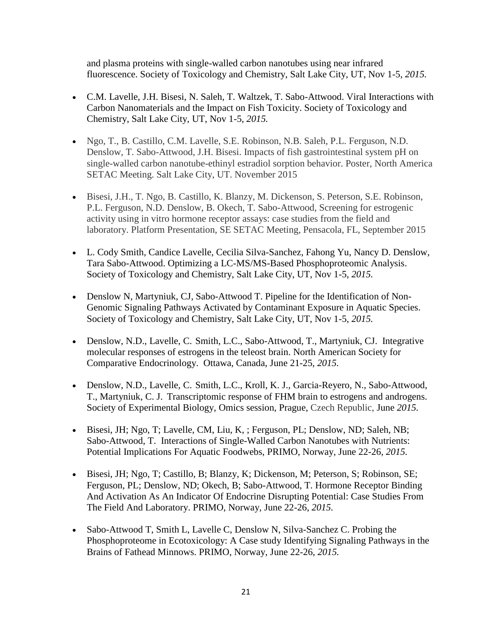and plasma proteins with single-walled carbon nanotubes using near infrared fluorescence. Society of Toxicology and Chemistry, Salt Lake City, UT, Nov 1-5, *2015.*

- C.M. Lavelle, J.H. Bisesi, N. Saleh, T. Waltzek, T. Sabo-Attwood. Viral Interactions with Carbon Nanomaterials and the Impact on Fish Toxicity. Society of Toxicology and Chemistry, Salt Lake City, UT, Nov 1-5, *2015.*
- Ngo, T., B. Castillo, C.M. Lavelle, S.E. Robinson, N.B. Saleh, P.L. Ferguson, N.D. Denslow, T. Sabo-Attwood, J.H. Bisesi. Impacts of fish gastrointestinal system pH on single-walled carbon nanotube-ethinyl estradiol sorption behavior. Poster, North America SETAC Meeting. Salt Lake City, UT. November 2015
- Bisesi, J.H., T. Ngo, B. Castillo, K. Blanzy, M. Dickenson, S. Peterson, S.E. Robinson, P.L. Ferguson, N.D. Denslow, B. Okech, T. Sabo-Attwood, Screening for estrogenic activity using in vitro hormone receptor assays: case studies from the field and laboratory. Platform Presentation, SE SETAC Meeting, Pensacola, FL, September 2015
- L. Cody Smith, Candice Lavelle, Cecilia Silva-Sanchez, Fahong Yu, Nancy D. Denslow, Tara Sabo-Attwood. Optimizing a LC-MS/MS-Based Phosphoproteomic Analysis. Society of Toxicology and Chemistry, Salt Lake City, UT, Nov 1-5, *2015.*
- Denslow N, Martyniuk, CJ, Sabo-Attwood T. Pipeline for the Identification of Non-Genomic Signaling Pathways Activated by Contaminant Exposure in Aquatic Species. Society of Toxicology and Chemistry, Salt Lake City, UT, Nov 1-5, *2015.*
- Denslow, N.D., Lavelle, C. Smith, L.C., Sabo-Attwood, T., Martyniuk, CJ. Integrative molecular responses of estrogens in the teleost brain. North American Society for Comparative Endocrinology. Ottawa, Canada, June 21-25, *2015.*
- Denslow, N.D., Lavelle, C. Smith, L.C., Kroll, K. J., Garcia-Reyero, N., Sabo-Attwood, T., Martyniuk, C. J. Transcriptomic response of FHM brain to estrogens and androgens. Society of Experimental Biology, Omics session, Prague, Czech Republic, June *2015.*
- Bisesi, JH; Ngo, T; Lavelle, CM, Liu, K, ; Ferguson, PL; Denslow, ND; Saleh, NB; Sabo-Attwood, T. Interactions of Single-Walled Carbon Nanotubes with Nutrients: Potential Implications For Aquatic Foodwebs, PRIMO, Norway, June 22-26, *2015.*
- Bisesi, JH; Ngo, T; Castillo, B; Blanzy, K; Dickenson, M; Peterson, S; Robinson, SE; Ferguson, PL; Denslow, ND; Okech, B; Sabo-Attwood, T. Hormone Receptor Binding And Activation As An Indicator Of Endocrine Disrupting Potential: Case Studies From The Field And Laboratory. PRIMO, Norway, June 22-26, *2015.*
- Sabo-Attwood T, Smith L, Lavelle C, Denslow N, Silva-Sanchez C. Probing the Phosphoproteome in Ecotoxicology: A Case study Identifying Signaling Pathways in the Brains of Fathead Minnows. PRIMO, Norway, June 22-26, *2015.*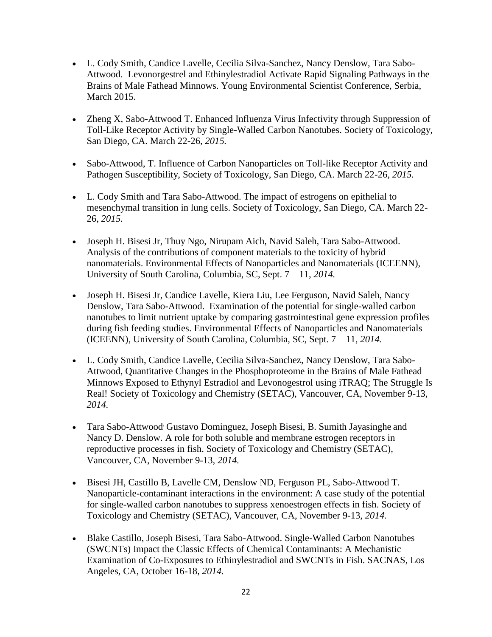- L. Cody Smith, Candice Lavelle, Cecilia Silva-Sanchez, Nancy Denslow, Tara Sabo-Attwood. Levonorgestrel and Ethinylestradiol Activate Rapid Signaling Pathways in the Brains of Male Fathead Minnows. Young Environmental Scientist Conference, Serbia, March 2015.
- Zheng X, Sabo-Attwood T. Enhanced Influenza Virus Infectivity through Suppression of Toll-Like Receptor Activity by Single-Walled Carbon Nanotubes. Society of Toxicology, San Diego, CA. March 22-26, *2015.*
- Sabo-Attwood, T. Influence of Carbon Nanoparticles on Toll-like Receptor Activity and Pathogen Susceptibility, Society of Toxicology, San Diego, CA. March 22-26, *2015.*
- L. Cody Smith and Tara Sabo-Attwood. The impact of estrogens on epithelial to mesenchymal transition in lung cells. Society of Toxicology, San Diego, CA. March 22- 26, *2015.*
- Joseph H. Bisesi Jr, Thuy Ngo, Nirupam Aich, Navid Saleh, Tara Sabo-Attwood. Analysis of the contributions of component materials to the toxicity of hybrid nanomaterials. Environmental Effects of Nanoparticles and Nanomaterials (ICEENN), University of South Carolina, Columbia, SC, Sept. 7 – 11, *2014.*
- Joseph H. Bisesi Jr, Candice Lavelle, Kiera Liu, Lee Ferguson, Navid Saleh, Nancy Denslow, Tara Sabo-Attwood. Examination of the potential for single-walled carbon nanotubes to limit nutrient uptake by comparing gastrointestinal gene expression profiles during fish feeding studies. Environmental Effects of Nanoparticles and Nanomaterials (ICEENN), University of South Carolina, Columbia, SC, Sept. 7 – 11, *2014.*
- L. Cody Smith, Candice Lavelle, Cecilia Silva-Sanchez, Nancy Denslow, Tara Sabo-Attwood, Quantitative Changes in the Phosphoproteome in the Brains of Male Fathead Minnows Exposed to Ethynyl Estradiol and Levonogestrol using iTRAQ; The Struggle Is Real! Society of Toxicology and Chemistry (SETAC), Vancouver, CA, November 9-13, *2014.*
- Tara Sabo-Attwood, Gustavo Dominguez, Joseph Bisesi, B. Sumith Jayasinghe and Nancy D. Denslow. A role for both soluble and membrane estrogen receptors in reproductive processes in fish. Society of Toxicology and Chemistry (SETAC), Vancouver, CA, November 9-13, *2014.*
- Bisesi JH, Castillo B, Lavelle CM, Denslow ND, Ferguson PL, Sabo-Attwood T. Nanoparticle-contaminant interactions in the environment: A case study of the potential for single-walled carbon nanotubes to suppress xenoestrogen effects in fish. Society of Toxicology and Chemistry (SETAC), Vancouver, CA, November 9-13, *2014.*
- Blake Castillo, Joseph Bisesi, Tara Sabo-Attwood. Single-Walled Carbon Nanotubes (SWCNTs) Impact the Classic Effects of Chemical Contaminants: A Mechanistic Examination of Co-Exposures to Ethinylestradiol and SWCNTs in Fish. SACNAS, Los Angeles, CA, October 16-18, *2014.*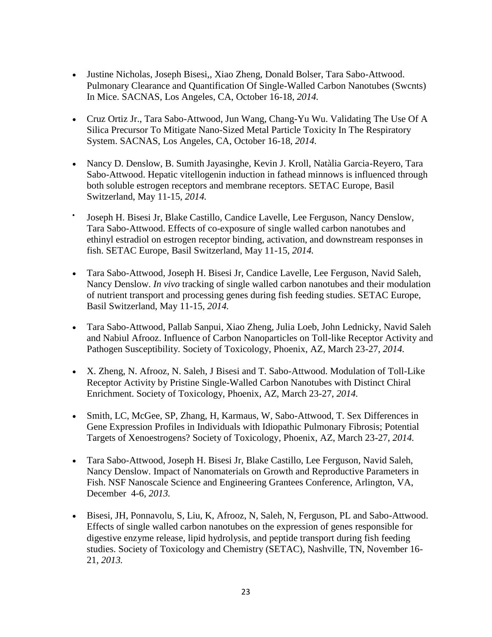- Justine Nicholas, Joseph Bisesi,, Xiao Zheng, Donald Bolser, Tara Sabo-Attwood. Pulmonary Clearance and Quantification Of Single-Walled Carbon Nanotubes (Swcnts) In Mice. SACNAS, Los Angeles, CA, October 16-18, *2014.*
- Cruz Ortiz Jr., Tara Sabo-Attwood, Jun Wang, Chang-Yu Wu. Validating The Use Of A Silica Precursor To Mitigate Nano-Sized Metal Particle Toxicity In The Respiratory System. SACNAS, Los Angeles, CA, October 16-18, *2014.*
- Nancy D. Denslow, B. Sumith Jayasinghe, Kevin J. Kroll, Natàlia Garcia-Reyero, Tara Sabo-Attwood. Hepatic vitellogenin induction in fathead minnows is influenced through both soluble estrogen receptors and membrane receptors. SETAC Europe, Basil Switzerland, May 11-15, *2014.*
- $\bullet$ Joseph H. Bisesi Jr, Blake Castillo, Candice Lavelle, Lee Ferguson, Nancy Denslow, Tara Sabo-Attwood. Effects of co-exposure of single walled carbon nanotubes and ethinyl estradiol on estrogen receptor binding, activation, and downstream responses in fish. SETAC Europe, Basil Switzerland, May 11-15, *2014.*
- Tara Sabo-Attwood, Joseph H. Bisesi Jr, Candice Lavelle, Lee Ferguson, Navid Saleh, Nancy Denslow. *In vivo* tracking of single walled carbon nanotubes and their modulation of nutrient transport and processing genes during fish feeding studies. SETAC Europe, Basil Switzerland, May 11-15, *2014.*
- Tara Sabo-Attwood, Pallab Sanpui, Xiao Zheng, Julia Loeb, John Lednicky, Navid Saleh and Nabiul Afrooz. Influence of Carbon Nanoparticles on Toll-like Receptor Activity and Pathogen Susceptibility. Society of Toxicology, Phoenix, AZ, March 23-27, *2014.*
- X. Zheng, N. Afrooz, N. Saleh, J Bisesi and T. Sabo-Attwood. Modulation of Toll-Like Receptor Activity by Pristine Single-Walled Carbon Nanotubes with Distinct Chiral Enrichment. Society of Toxicology, Phoenix, AZ, March 23-27, *2014.*
- Smith, LC, McGee, SP, Zhang, H, Karmaus, W, Sabo-Attwood, T. Sex Differences in Gene Expression Profiles in Individuals with Idiopathic Pulmonary Fibrosis; Potential Targets of Xenoestrogens? Society of Toxicology, Phoenix, AZ, March 23-27, *2014.*
- Tara Sabo-Attwood, Joseph H. Bisesi Jr, Blake Castillo, Lee Ferguson, Navid Saleh, Nancy Denslow. Impact of Nanomaterials on Growth and Reproductive Parameters in Fish. NSF Nanoscale Science and Engineering Grantees Conference, Arlington, VA, December 4-6, *2013.*
- Bisesi, JH, Ponnavolu, S, Liu, K, Afrooz, N, Saleh, N, Ferguson, PL and Sabo-Attwood. Effects of single walled carbon nanotubes on the expression of genes responsible for digestive enzyme release, lipid hydrolysis, and peptide transport during fish feeding studies. Society of Toxicology and Chemistry (SETAC), Nashville, TN, November 16- 21, *2013.*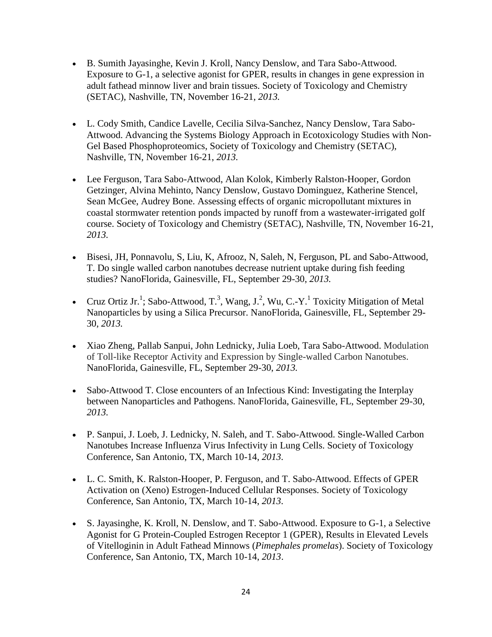- B. Sumith Jayasinghe, Kevin J. Kroll, Nancy Denslow, and Tara Sabo-Attwood. Exposure to G-1, a selective agonist for GPER, results in changes in gene expression in adult fathead minnow liver and brain tissues. Society of Toxicology and Chemistry (SETAC), Nashville, TN, November 16-21, *2013.*
- L. Cody Smith, Candice Lavelle, Cecilia Silva-Sanchez, Nancy Denslow, Tara Sabo-Attwood. Advancing the Systems Biology Approach in Ecotoxicology Studies with Non-Gel Based Phosphoproteomics, Society of Toxicology and Chemistry (SETAC), Nashville, TN, November 16-21, *2013.*
- Lee Ferguson, Tara Sabo-Attwood, Alan Kolok, Kimberly Ralston-Hooper, Gordon Getzinger, Alvina Mehinto, Nancy Denslow, Gustavo Dominguez, Katherine Stencel, Sean McGee, Audrey Bone. [Assessing effects of organic micropollutant mixtures in](http://meetings.setac.org/frontend.php/presentation/listForPublic)  [coastal stormwater retention ponds impacted by runoff from a wastewater-irrigated golf](http://meetings.setac.org/frontend.php/presentation/listForPublic)  [course.](http://meetings.setac.org/frontend.php/presentation/listForPublic) Society of Toxicology and Chemistry (SETAC), Nashville, TN, November 16-21, *2013.*
- Bisesi, JH, Ponnavolu, S, Liu, K, Afrooz, N, Saleh, N, Ferguson, PL and Sabo-Attwood, T. Do single walled carbon nanotubes decrease nutrient uptake during fish feeding studies? NanoFlorida, Gainesville, FL, September 29-30, *2013.*
- Cruz Ortiz Jr.<sup>1</sup>; Sabo-Attwood, T.<sup>3</sup>, Wang, J.<sup>2</sup>, Wu, C.-Y.<sup>1</sup> Toxicity Mitigation of Metal Nanoparticles by using a Silica Precursor. NanoFlorida, Gainesville, FL, September 29- 30, *2013.*
- Xiao Zheng, Pallab Sanpui, John Lednicky, Julia Loeb, Tara Sabo-Attwood. Modulation of Toll-like Receptor Activity and Expression by Single-walled Carbon Nanotubes. NanoFlorida, Gainesville, FL, September 29-30, *2013.*
- Sabo-Attwood T. Close encounters of an Infectious Kind: Investigating the Interplay between Nanoparticles and Pathogens. NanoFlorida, Gainesville, FL, September 29-30, *2013.*
- P. Sanpui, J. Loeb, J. Lednicky, N. Saleh, and T. Sabo-Attwood. Single-Walled Carbon Nanotubes Increase Influenza Virus Infectivity in Lung Cells. Society of Toxicology Conference, San Antonio, TX, March 10-14, *2013.*
- L. C. Smith, K. Ralston-Hooper, P. Ferguson, and T. Sabo-Attwood. Effects of GPER Activation on (Xeno) Estrogen-Induced Cellular Responses. Society of Toxicology Conference, San Antonio, TX, March 10-14, *2013.*
- S. Jayasinghe, K. Kroll, N. Denslow, and T. Sabo-Attwood. Exposure to G-1, a Selective Agonist for G Protein-Coupled Estrogen Receptor 1 (GPER), Results in Elevated Levels of Vitelloginin in Adult Fathead Minnows (*Pimephales promelas*). Society of Toxicology Conference, San Antonio, TX, March 10-14, *2013*.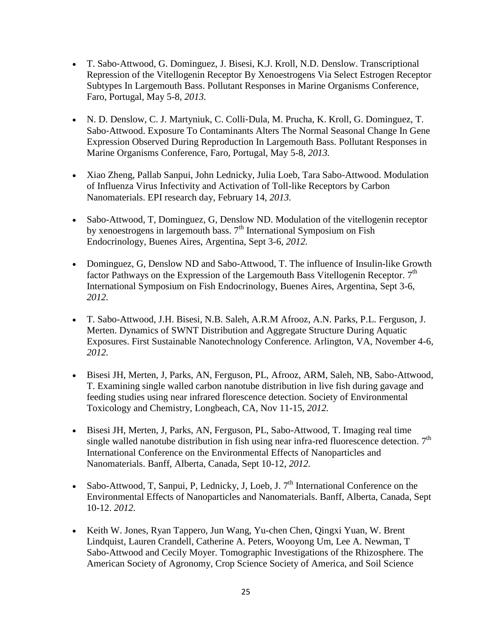- T. Sabo‐Attwood, G. Dominguez, J. Bisesi, K.J. Kroll, N.D. Denslow. Transcriptional Repression of the Vitellogenin Receptor By Xenoestrogens Via Select Estrogen Receptor Subtypes In Largemouth Bass. Pollutant Responses in Marine Organisms Conference, Faro, Portugal, May 5-8, *2013.*
- N. D. Denslow, C. J. Martyniuk, C. Colli‐Dula, M. Prucha, K. Kroll, G. Dominguez, T. Sabo‐Attwood. Exposure To Contaminants Alters The Normal Seasonal Change In Gene Expression Observed During Reproduction In Largemouth Bass. Pollutant Responses in Marine Organisms Conference, Faro, Portugal, May 5-8, *2013.*
- Xiao Zheng, Pallab Sanpui, John Lednicky, Julia Loeb, Tara Sabo-Attwood. Modulation of Influenza Virus Infectivity and Activation of Toll-like Receptors by Carbon Nanomaterials. EPI research day, February 14, *2013.*
- Sabo-Attwood, T, Dominguez, G, Denslow ND. Modulation of the vitellogenin receptor by xenoestrogens in largemouth bass.  $7<sup>th</sup>$  International Symposium on Fish Endocrinology, Buenes Aires, Argentina, Sept 3-6, *2012.*
- Dominguez, G, Denslow ND and Sabo-Attwood, T. The influence of Insulin-like Growth factor Pathways on the Expression of the Largemouth Bass Vitellogenin Receptor.  $7<sup>th</sup>$ International Symposium on Fish Endocrinology, Buenes Aires, Argentina, Sept 3-6, *2012.*
- T. Sabo-Attwood, J.H. Bisesi, N.B. Saleh, A.R.M Afrooz, A.N. Parks, P.L. Ferguson, J. Merten. Dynamics of SWNT Distribution and Aggregate Structure During Aquatic Exposures. First Sustainable Nanotechnology Conference. Arlington, VA, November 4-6, *2012.*
- Bisesi JH, Merten, J, Parks, AN, Ferguson, PL, Afrooz, ARM, Saleh, NB, Sabo-Attwood, T. Examining single walled carbon nanotube distribution in live fish during gavage and feeding studies using near infrared florescence detection. Society of Environmental Toxicology and Chemistry, Longbeach, CA, Nov 11-15, *2012.*
- Bisesi JH, Merten, J, Parks, AN, Ferguson, PL, Sabo-Attwood, T. Imaging real time single walled nanotube distribution in fish using near infra-red fluorescence detection.  $7<sup>th</sup>$ International Conference on the Environmental Effects of Nanoparticles and Nanomaterials. Banff, Alberta, Canada, Sept 10-12, *2012.*
- Sabo-Attwood, T, Sanpui, P, Lednicky, J, Loeb, J.  $7<sup>th</sup>$  International Conference on the Environmental Effects of Nanoparticles and Nanomaterials. Banff, Alberta, Canada, Sept 10-12. *2012.*
- Keith W. Jones, Ryan Tappero, Jun Wang, Yu-chen Chen, Qingxi Yuan, W. Brent Lindquist, Lauren Crandell, Catherine A. Peters, Wooyong Um, Lee A. Newman, T Sabo-Attwood and Cecily Moyer. Tomographic Investigations of the Rhizosphere. The American Society of Agronomy, Crop Science Society of America, and Soil Science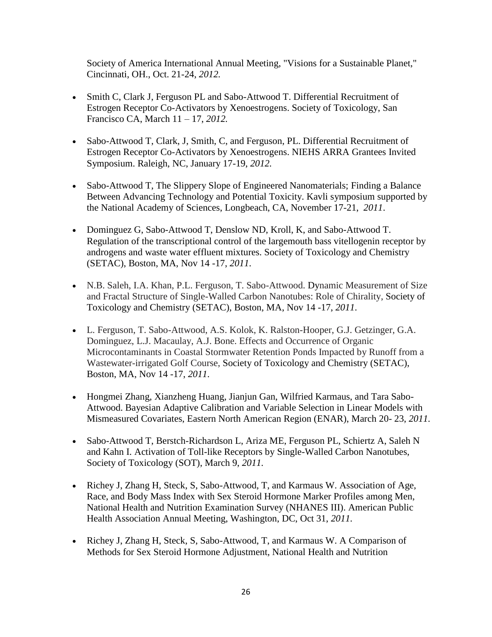Society of America International Annual Meeting, "Visions for a Sustainable Planet," Cincinnati, OH., Oct. 21-24, *2012.*

- Smith C, Clark J, Ferguson PL and Sabo-Attwood T. Differential Recruitment of Estrogen Receptor Co-Activators by Xenoestrogens. Society of Toxicology, San Francisco CA, March 11 – 17, *2012.*
- Sabo-Attwood T, Clark, J, Smith, C, and Ferguson, PL. Differential Recruitment of Estrogen Receptor Co-Activators by Xenoestrogens. NIEHS ARRA Grantees Invited Symposium. Raleigh, NC, January 17-19, *2012.*
- Sabo-Attwood T, The Slippery Slope of Engineered Nanomaterials; Finding a Balance Between Advancing Technology and Potential Toxicity. Kavli symposium supported by the National Academy of Sciences, Longbeach, CA, November 17-21, *2011*.
- Dominguez G, Sabo-Attwood T, Denslow ND, Kroll, K, and Sabo-Attwood T. Regulation of the transcriptional control of the largemouth bass vitellogenin receptor by androgens and waste water effluent mixtures. Society of Toxicology and Chemistry (SETAC), Boston, MA, Nov 14 -17, *2011*.
- N.B. Saleh, I.A. Khan, P.L. Ferguson, T. Sabo-Attwood. Dynamic Measurement of Size and Fractal Structure of Single-Walled Carbon Nanotubes: Role of Chirality, Society of Toxicology and Chemistry (SETAC), Boston, MA, Nov 14 -17, *2011*.
- L. Ferguson, T. Sabo-Attwood, A.S. Kolok, K. Ralston-Hooper, G.J. Getzinger, G.A. Dominguez, L.J. Macaulay, A.J. Bone. Effects and Occurrence of Organic Microcontaminants in Coastal Stormwater Retention Ponds Impacted by Runoff from a Wastewater-irrigated Golf Course, Society of Toxicology and Chemistry (SETAC), Boston, MA, Nov 14 -17, *2011*.
- Hongmei Zhang, Xianzheng Huang, Jianjun Gan, Wilfried Karmaus, and Tara Sabo-Attwood. Bayesian Adaptive Calibration and Variable Selection in Linear Models with Mismeasured Covariates, Eastern North American Region (ENAR), March 20- 23, *2011.*
- Sabo-Attwood T, Berstch-Richardson L, Ariza ME, Ferguson PL, Schiertz A, Saleh N and Kahn I. Activation of Toll-like Receptors by Single-Walled Carbon Nanotubes, Society of Toxicology (SOT), March 9, *2011.*
- Richey J, Zhang H, Steck, S, Sabo-Attwood, T, and Karmaus W. Association of Age, Race, and Body Mass Index with Sex Steroid Hormone Marker Profiles among Men, National Health and Nutrition Examination Survey (NHANES III). American Public Health Association Annual Meeting, Washington, DC, Oct 31, *2011.*
- Richey J, Zhang H, Steck, S, Sabo-Attwood, T, and Karmaus W. A Comparison of Methods for Sex Steroid Hormone Adjustment, National Health and Nutrition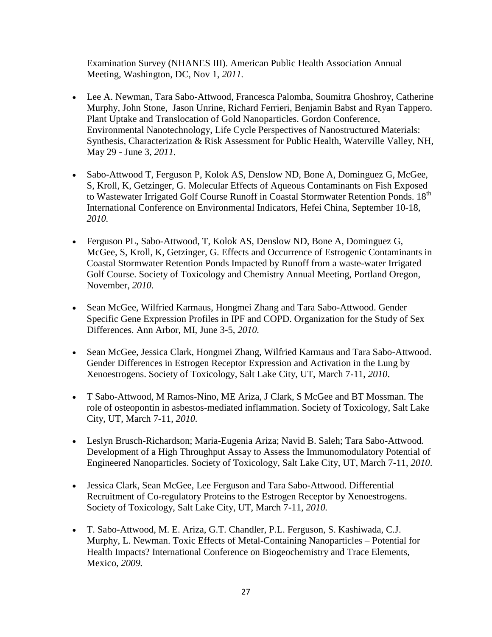Examination Survey (NHANES III). American Public Health Association Annual Meeting, Washington, DC, Nov 1, *2011.*

- Lee A. Newman, Tara Sabo-Attwood, Francesca Palomba, Soumitra Ghoshroy, Catherine Murphy, John Stone, Jason Unrine, Richard Ferrieri, Benjamin Babst and Ryan Tappero. Plant Uptake and Translocation of Gold Nanoparticles. Gordon Conference, Environmental Nanotechnology, Life Cycle Perspectives of Nanostructured Materials: Synthesis, Characterization & Risk Assessment for Public Health, Waterville Valley, NH, May 29 - June 3, *2011.*
- Sabo-Attwood T, Ferguson P, Kolok AS, Denslow ND, Bone A, Dominguez G, McGee, S, Kroll, K, Getzinger, G. Molecular Effects of Aqueous Contaminants on Fish Exposed to Wastewater Irrigated Golf Course Runoff in Coastal Stormwater Retention Ponds. 18<sup>th</sup> International Conference on Environmental Indicators, Hefei China, September 10-18, *2010.*
- Ferguson PL, Sabo-Attwood, T, Kolok AS, Denslow ND, Bone A, Dominguez G, McGee, S, Kroll, K, Getzinger, G. Effects and Occurrence of Estrogenic Contaminants in Coastal Stormwater Retention Ponds Impacted by Runoff from a waste-water Irrigated Golf Course. Society of Toxicology and Chemistry Annual Meeting, Portland Oregon, November, *2010.*
- Sean McGee, Wilfried Karmaus, Hongmei Zhang and Tara Sabo-Attwood. Gender Specific Gene Expression Profiles in IPF and COPD. Organization for the Study of Sex Differences. Ann Arbor, MI, June 3-5, *2010.*
- Sean McGee, Jessica Clark, Hongmei Zhang, Wilfried Karmaus and Tara Sabo-Attwood. Gender Differences in Estrogen Receptor Expression and Activation in the Lung by Xenoestrogens. Society of Toxicology, Salt Lake City, UT, March 7-11, *2010*.
- T Sabo-Attwood, M Ramos-Nino, ME Ariza, J Clark, S McGee and BT Mossman. The role of osteopontin in asbestos-mediated inflammation. Society of Toxicology, Salt Lake City, UT, March 7-11, *2010.*
- Leslyn Brusch-Richardson; Maria-Eugenia Ariza; Navid B. Saleh; Tara Sabo-Attwood. Development of a High Throughput Assay to Assess the Immunomodulatory Potential of Engineered Nanoparticles. Society of Toxicology, Salt Lake City, UT, March 7-11, *2010*.
- Jessica Clark, Sean McGee, Lee Ferguson and Tara Sabo-Attwood. Differential Recruitment of Co-regulatory Proteins to the Estrogen Receptor by Xenoestrogens. Society of Toxicology, Salt Lake City, UT, March 7-11, *2010.*
- T. Sabo-Attwood, M. E. Ariza, G.T. Chandler, P.L. Ferguson, S. Kashiwada, C.J. Murphy, L. Newman. Toxic Effects of Metal-Containing Nanoparticles – Potential for Health Impacts? International Conference on Biogeochemistry and Trace Elements, Mexico, *2009.*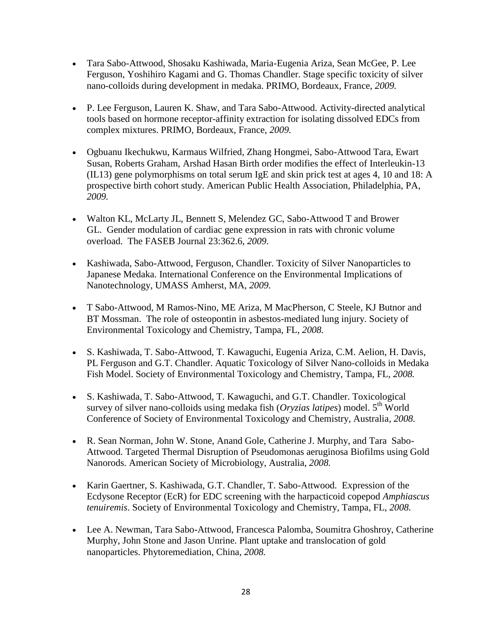- Tara Sabo-Attwood, Shosaku Kashiwada, Maria-Eugenia Ariza, Sean McGee, P. Lee Ferguson, Yoshihiro Kagami and G. Thomas Chandler. Stage specific toxicity of silver nano-colloids during development in medaka. PRIMO, Bordeaux, France, *2009.*
- P. Lee Ferguson, Lauren K. Shaw, and Tara Sabo-Attwood. Activity-directed analytical tools based on hormone receptor-affinity extraction for isolating dissolved EDCs from complex mixtures. PRIMO, Bordeaux, France, *2009.*
- Ogbuanu Ikechukwu, Karmaus Wilfried, Zhang Hongmei, Sabo-Attwood Tara, Ewart Susan, Roberts Graham, Arshad Hasan Birth order modifies the effect of Interleukin-13 (IL13) gene polymorphisms on total serum IgE and skin prick test at ages 4, 10 and 18: A prospective birth cohort study. American Public Health Association, Philadelphia, PA, *2009.*
- Walton KL, McLarty JL, Bennett S, Melendez GC, Sabo-Attwood T and Brower GL. Gender modulation of cardiac gene expression in rats with chronic volume overload. The FASEB Journal 23:362.6, *2009.*
- Kashiwada, Sabo-Attwood, Ferguson, Chandler. Toxicity of Silver Nanoparticles to Japanese Medaka. International Conference on the Environmental Implications of Nanotechnology, UMASS Amherst, MA, *2009.*
- T Sabo-Attwood, M Ramos-Nino, ME Ariza, M MacPherson, C Steele, KJ Butnor and BT Mossman. The role of osteopontin in asbestos-mediated lung injury. Society of Environmental Toxicology and Chemistry, Tampa, FL, *2008.*
- S. Kashiwada, T. Sabo-Attwood, T. Kawaguchi, Eugenia Ariza, C.M. Aelion, H. Davis, PL Ferguson and G.T. Chandler. Aquatic Toxicology of Silver Nano-colloids in Medaka Fish Model. Society of Environmental Toxicology and Chemistry, Tampa, FL, *2008.*
- S. Kashiwada, T. Sabo-Attwood, T. Kawaguchi, and G.T. Chandler. Toxicological survey of silver nano-colloids using medaka fish  $(Oryzias latipes)$  model.  $5<sup>th</sup>$  World Conference of Society of Environmental Toxicology and Chemistry, Australia, *2008.*
- R. Sean Norman, John W. Stone, Anand Gole, Catherine J. Murphy, and Tara Sabo-Attwood. Targeted Thermal Disruption of Pseudomonas aeruginosa Biofilms using Gold Nanorods. American Society of Microbiology, Australia, *2008.*
- Karin Gaertner, S. Kashiwada, G.T. Chandler, T. Sabo-Attwood. Expression of the Ecdysone Receptor (EcR) for EDC screening with the harpacticoid copepod *Amphiascus tenuiremis*. Society of Environmental Toxicology and Chemistry, Tampa, FL, *2008.*
- Lee A. Newman, Tara Sabo-Attwood, Francesca Palomba, Soumitra Ghoshroy, Catherine Murphy, John Stone and Jason Unrine. Plant uptake and translocation of gold nanoparticles. Phytoremediation, China, *2008.*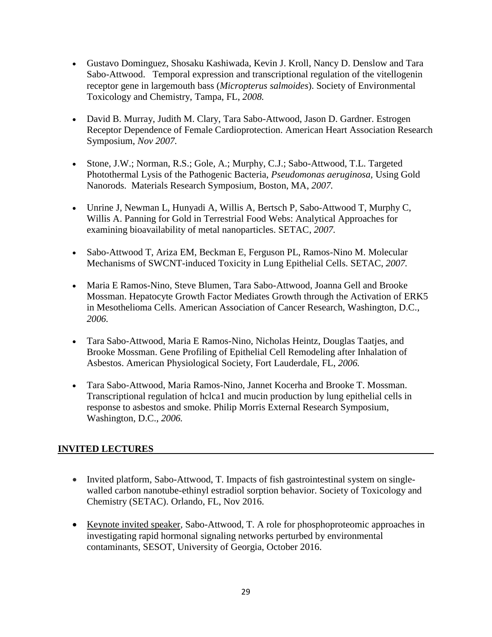- Gustavo Dominguez, Shosaku Kashiwada, Kevin J. Kroll, Nancy D. Denslow and Tara Sabo-Attwood. Temporal expression and transcriptional regulation of the vitellogenin receptor gene in largemouth bass (*Micropterus salmoides*). Society of Environmental Toxicology and Chemistry, Tampa, FL, *2008.*
- David B. Murray, Judith M. Clary, Tara Sabo-Attwood, Jason D. Gardner. Estrogen Receptor Dependence of Female Cardioprotection. American Heart Association Research Symposium, *Nov 2007.*
- Stone, J.W.; Norman, R.S.; Gole, A.; Murphy, C.J.; Sabo-Attwood, T.L. Targeted Photothermal Lysis of the Pathogenic Bacteria, *Pseudomonas aeruginosa,* Using Gold Nanorods. Materials Research Symposium, Boston, MA, *2007.*
- Unrine J, Newman L, Hunyadi A, Willis A, Bertsch P, Sabo-Attwood T, Murphy C, Willis A. Panning for Gold in Terrestrial Food Webs: Analytical Approaches for examining bioavailability of metal nanoparticles. SETAC, *2007.*
- Sabo-Attwood T, Ariza EM, Beckman E, Ferguson PL, Ramos-Nino M. Molecular Mechanisms of SWCNT-induced Toxicity in Lung Epithelial Cells. SETAC, *2007.*
- Maria E Ramos-Nino, Steve Blumen, Tara Sabo-Attwood, Joanna Gell and Brooke Mossman. Hepatocyte Growth Factor Mediates Growth through the Activation of ERK5 in Mesothelioma Cells. American Association of Cancer Research, Washington, D.C., *2006.*
- Tara Sabo-Attwood, Maria E Ramos-Nino, Nicholas Heintz, Douglas Taatjes, and Brooke Mossman. Gene Profiling of Epithelial Cell Remodeling after Inhalation of Asbestos. American Physiological Society, Fort Lauderdale, FL, *2006.*
- Tara Sabo-Attwood, Maria Ramos-Nino, Jannet Kocerha and Brooke T. Mossman. Transcriptional regulation of hclca1 and mucin production by lung epithelial cells in response to asbestos and smoke. Philip Morris External Research Symposium, Washington, D.C., *2006.*

# **INVITED LECTURES**

- Invited platform, Sabo-Attwood, T. Impacts of fish gastrointestinal system on singlewalled carbon nanotube-ethinyl estradiol sorption behavior. Society of Toxicology and Chemistry (SETAC). Orlando, FL, Nov 2016.
- Keynote invited speaker, Sabo-Attwood, T. A role for phosphoproteomic approaches in investigating rapid hormonal signaling networks perturbed by environmental contaminants, SESOT, University of Georgia, October 2016.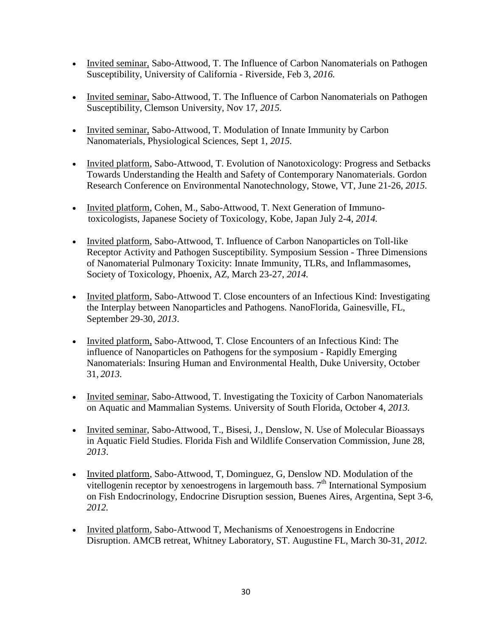- Invited seminar, Sabo-Attwood, T. The Influence of Carbon Nanomaterials on Pathogen Susceptibility, University of California - Riverside, Feb 3, *2016.*
- Invited seminar, Sabo-Attwood, T. The Influence of Carbon Nanomaterials on Pathogen Susceptibility, Clemson University, Nov 17, *2015.*
- Invited seminar, Sabo-Attwood, T. Modulation of Innate Immunity by Carbon Nanomaterials, Physiological Sciences, Sept 1, *2015.*
- Invited platform, Sabo-Attwood, T. Evolution of Nanotoxicology: Progress and Setbacks Towards Understanding the Health and Safety of Contemporary Nanomaterials. Gordon Research Conference on Environmental Nanotechnology, Stowe, VT, June 21-26, *2015.*
- Invited platform, Cohen, M., Sabo-Attwood, T. Next Generation of Immunotoxicologists, Japanese Society of Toxicology, Kobe, Japan July 2-4, *2014.*
- Invited platform, Sabo-Attwood, T. Influence of Carbon Nanoparticles on Toll-like Receptor Activity and Pathogen Susceptibility. Symposium Session - Three Dimensions of Nanomaterial Pulmonary Toxicity: Innate Immunity, TLRs, and Inflammasomes, Society of Toxicology, Phoenix, AZ, March 23-27, *2014.*
- Invited platform, Sabo-Attwood T. Close encounters of an Infectious Kind: Investigating the Interplay between Nanoparticles and Pathogens. NanoFlorida, Gainesville, FL, September 29-30, *2013*.
- Invited platform, Sabo-Attwood, T. Close Encounters of an Infectious Kind: The influence of Nanoparticles on Pathogens for the symposium - Rapidly Emerging Nanomaterials: Insuring Human and Environmental Health, Duke University, October 31, *2013.*
- Invited seminar, Sabo-Attwood, T. Investigating the Toxicity of Carbon Nanomaterials on Aquatic and Mammalian Systems. University of South Florida, October 4, *2013.*
- Invited seminar, Sabo-Attwood, T., Bisesi, J., Denslow, N. Use of Molecular Bioassays in Aquatic Field Studies. Florida Fish and Wildlife Conservation Commission, June 28, *2013*.
- Invited platform, Sabo-Attwood, T, Dominguez, G, Denslow ND. Modulation of the vitellogenin receptor by xenoestrogens in largemouth bass.  $7<sup>th</sup>$  International Symposium on Fish Endocrinology, Endocrine Disruption session, Buenes Aires, Argentina, Sept 3-6, *2012.*
- Invited platform, Sabo-Attwood T, Mechanisms of Xenoestrogens in Endocrine Disruption. AMCB retreat, Whitney Laboratory, ST. Augustine FL, March 30-31, *2012.*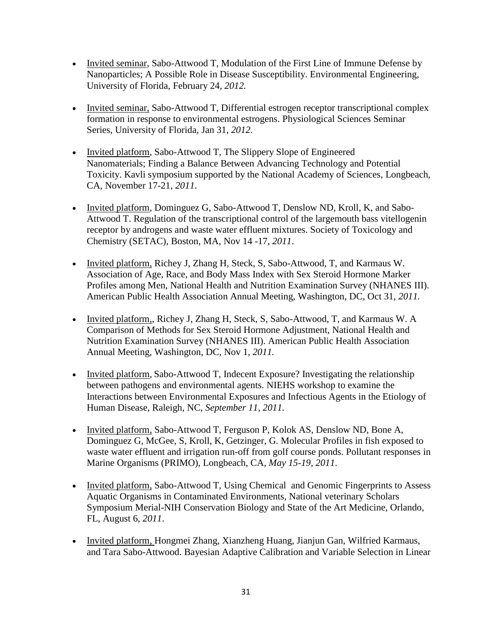- Invited seminar, Sabo-Attwood T, Modulation of the First Line of Immune Defense by Nanoparticles; A Possible Role in Disease Susceptibility. Environmental Engineering, University of Florida, February 24, *2012.*
- Invited seminar, Sabo-Attwood T, Differential estrogen receptor transcriptional complex formation in response to environmental estrogens. Physiological Sciences Seminar Series, University of Florida, Jan 31, *2012.*
- Invited platform, Sabo-Attwood T, The Slippery Slope of Engineered Nanomaterials; Finding a Balance Between Advancing Technology and Potential Toxicity. Kavli symposium supported by the National Academy of Sciences, Longbeach, CA, November 17-21, *2011*.
- Invited platform, Dominguez G, Sabo-Attwood T, Denslow ND, Kroll, K, and Sabo-Attwood T. Regulation of the transcriptional control of the largemouth bass vitellogenin receptor by androgens and waste water effluent mixtures. Society of Toxicology and Chemistry (SETAC), Boston, MA, Nov 14 -17, *2011*.
- Invited platform, Richey J, Zhang H, Steck, S, Sabo-Attwood, T, and Karmaus W. Association of Age, Race, and Body Mass Index with Sex Steroid Hormone Marker Profiles among Men, National Health and Nutrition Examination Survey (NHANES III). American Public Health Association Annual Meeting, Washington, DC, Oct 31, *2011.*
- Invited platform,, Richey J, Zhang H, Steck, S, Sabo-Attwood, T, and Karmaus W. A Comparison of Methods for Sex Steroid Hormone Adjustment, National Health and Nutrition Examination Survey (NHANES III). American Public Health Association Annual Meeting, Washington, DC, Nov 1, *2011.*
- Invited platform, Sabo-Attwood T, Indecent Exposure? Investigating the relationship between pathogens and environmental agents. NIEHS workshop to examine the Interactions between Environmental Exposures and Infectious Agents in the Etiology of Human Disease, Raleigh, NC, *September 11, 2011.*
- Invited platform, Sabo-Attwood T, Ferguson P, Kolok AS, Denslow ND, Bone A, Dominguez G, McGee, S, Kroll, K, Getzinger, G. Molecular Profiles in fish exposed to waste water effluent and irrigation run-off from golf course ponds. Pollutant responses in Marine Organisms (PRIMO), Longbeach, CA, *May 15-19, 2011*.
- Invited platform, Sabo-Attwood T, Using Chemical and Genomic Fingerprints to Assess Aquatic Organisms in Contaminated Environments, National veterinary Scholars Symposium Merial-NIH Conservation Biology and State of the Art Medicine, Orlando, FL, August 6, *2011*.
- Invited platform, Hongmei Zhang, Xianzheng Huang, Jianjun Gan, Wilfried Karmaus, and Tara Sabo-Attwood. Bayesian Adaptive Calibration and Variable Selection in Linear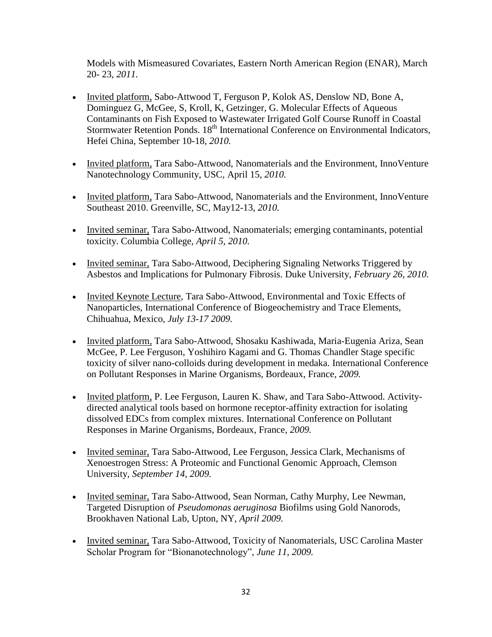Models with Mismeasured Covariates, Eastern North American Region (ENAR), March 20- 23, *2011.*

- Invited platform, Sabo-Attwood T, Ferguson P, Kolok AS, Denslow ND, Bone A, Dominguez G, McGee, S, Kroll, K, Getzinger, G. Molecular Effects of Aqueous Contaminants on Fish Exposed to Wastewater Irrigated Golf Course Runoff in Coastal Stormwater Retention Ponds. 18<sup>th</sup> International Conference on Environmental Indicators, Hefei China, September 10-18*, 2010.*
- Invited platform, Tara Sabo-Attwood, Nanomaterials and the Environment, InnoVenture Nanotechnology Community, USC, April 15, *2010.*
- Invited platform, Tara Sabo-Attwood, Nanomaterials and the Environment, InnoVenture Southeast 2010. Greenville, SC, May12-13, *2010.*
- Invited seminar, Tara Sabo-Attwood, Nanomaterials; emerging contaminants, potential toxicity. Columbia College, *April 5, 2010.*
- Invited seminar, Tara Sabo-Attwood, Deciphering Signaling Networks Triggered by Asbestos and Implications for Pulmonary Fibrosis. Duke University, *February 26, 2010.*
- Invited Keynote Lecture, Tara Sabo-Attwood, Environmental and Toxic Effects of Nanoparticles, International Conference of Biogeochemistry and Trace Elements, Chihuahua, Mexico, *July 13-17 2009.*
- Invited platform, Tara Sabo-Attwood, Shosaku Kashiwada, Maria-Eugenia Ariza, Sean McGee, P. Lee Ferguson, Yoshihiro Kagami and G. Thomas Chandler Stage specific toxicity of silver nano-colloids during development in medaka. International Conference on Pollutant Responses in Marine Organisms, Bordeaux, France, *2009.*
- Invited platform, P. Lee Ferguson, Lauren K. Shaw, and Tara Sabo-Attwood. Activitydirected analytical tools based on hormone receptor-affinity extraction for isolating dissolved EDCs from complex mixtures. International Conference on Pollutant Responses in Marine Organisms, Bordeaux, France, *2009.*
- Invited seminar, Tara Sabo-Attwood, Lee Ferguson, Jessica Clark, Mechanisms of Xenoestrogen Stress: A Proteomic and Functional Genomic Approach, Clemson University, *September 14, 2009.*
- Invited seminar, Tara Sabo-Attwood, Sean Norman, Cathy Murphy, Lee Newman, Targeted Disruption of *Pseudomonas aeruginosa* Biofilms using Gold Nanorods*,*  Brookhaven National Lab, Upton, NY, *April 2009.*
- Invited seminar, Tara Sabo-Attwood, Toxicity of Nanomaterials, USC Carolina Master Scholar Program for "Bionanotechnology", *June 11, 2009.*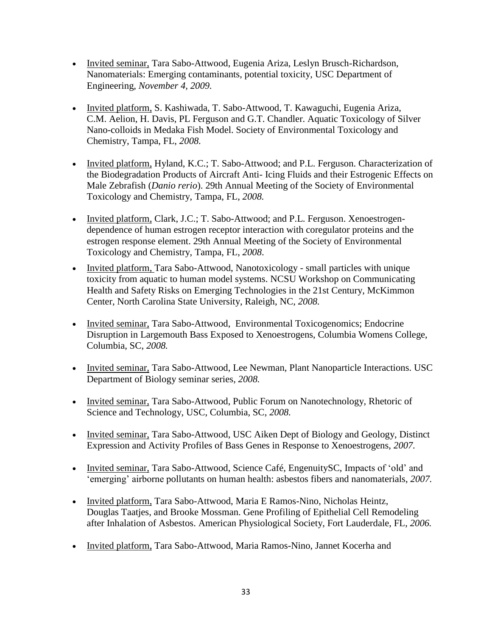- Invited seminar, Tara Sabo-Attwood, Eugenia Ariza, Leslyn Brusch-Richardson, Nanomaterials: Emerging contaminants, potential toxicity, USC Department of Engineering, *November 4, 2009.*
- Invited platform, S. Kashiwada, T. Sabo-Attwood, T. Kawaguchi, Eugenia Ariza, C.M. Aelion, H. Davis, PL Ferguson and G.T. Chandler. Aquatic Toxicology of Silver Nano-colloids in Medaka Fish Model. Society of Environmental Toxicology and Chemistry, Tampa, FL, *2008.*
- Invited platform, Hyland, K.C.; T. Sabo-Attwood; and P.L. Ferguson. Characterization of the Biodegradation Products of Aircraft Anti- Icing Fluids and their Estrogenic Effects on Male Zebrafish (*Danio rerio*). 29th Annual Meeting of the Society of Environmental Toxicology and Chemistry, Tampa, FL, *2008.*
- Invited platform, Clark, J.C.; T. Sabo-Attwood; and P.L. Ferguson. Xenoestrogendependence of human estrogen receptor interaction with coregulator proteins and the estrogen response element. 29th Annual Meeting of the Society of Environmental Toxicology and Chemistry, Tampa, FL, *2008*.
- Invited platform, Tara Sabo-Attwood, Nanotoxicology small particles with unique toxicity from aquatic to human model systems. NCSU Workshop on Communicating Health and Safety Risks on Emerging Technologies in the 21st Century, McKimmon Center, North Carolina State University, Raleigh, NC, *2008.*
- Invited seminar, Tara Sabo-Attwood, Environmental Toxicogenomics; Endocrine Disruption in Largemouth Bass Exposed to Xenoestrogens, Columbia Womens College, Columbia, SC, *2008.*
- Invited seminar, Tara Sabo-Attwood, Lee Newman, Plant Nanoparticle Interactions. USC Department of Biology seminar series, *2008.*
- Invited seminar, Tara Sabo-Attwood, Public Forum on Nanotechnology, Rhetoric of Science and Technology, USC, Columbia, SC, *2008.*
- Invited seminar, Tara Sabo-Attwood, USC Aiken Dept of Biology and Geology, Distinct Expression and Activity Profiles of Bass Genes in Response to Xenoestrogens, *2007.*
- Invited seminar, Tara Sabo-Attwood, Science Café, EngenuitySC, Impacts of 'old' and 'emerging' airborne pollutants on human health: asbestos fibers and nanomaterials, *2007.*
- Invited platform, Tara Sabo-Attwood, Maria E Ramos-Nino, Nicholas Heintz, Douglas Taatjes, and Brooke Mossman. Gene Profiling of Epithelial Cell Remodeling after Inhalation of Asbestos. American Physiological Society, Fort Lauderdale, FL, *2006.*
- Invited platform, Tara Sabo-Attwood, Maria Ramos-Nino, Jannet Kocerha and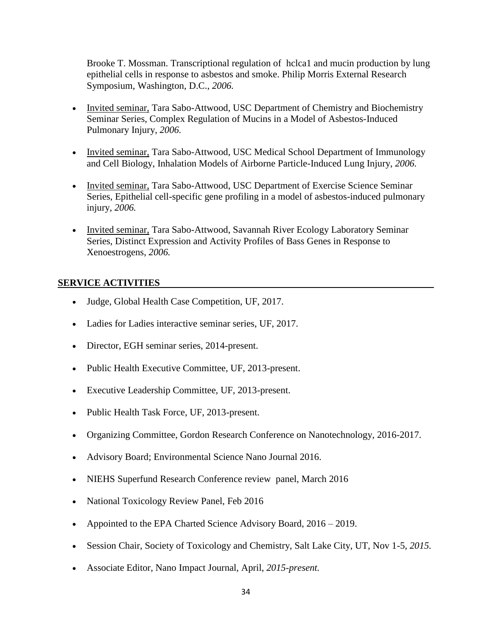Brooke T. Mossman. Transcriptional regulation of hclca1 and mucin production by lung epithelial cells in response to asbestos and smoke. Philip Morris External Research Symposium, Washington, D.C., *2006.*

- Invited seminar, Tara Sabo-Attwood, USC Department of Chemistry and Biochemistry Seminar Series, Complex Regulation of Mucins in a Model of Asbestos-Induced Pulmonary Injury, *2006.*
- Invited seminar, Tara Sabo-Attwood, USC Medical School Department of Immunology and Cell Biology, Inhalation Models of Airborne Particle-Induced Lung Injury, *2006.*
- Invited seminar, Tara Sabo-Attwood, USC Department of Exercise Science Seminar Series, Epithelial cell-specific gene profiling in a model of asbestos-induced pulmonary injury, *2006.*
- Invited seminar, Tara Sabo-Attwood, Savannah River Ecology Laboratory Seminar Series, Distinct Expression and Activity Profiles of Bass Genes in Response to Xenoestrogens, *2006.*

#### **SERVICE ACTIVITIES**

- Judge, Global Health Case Competition, UF, 2017.
- Ladies for Ladies interactive seminar series, UF, 2017.
- Director, EGH seminar series, 2014-present.
- Public Health Executive Committee, UF, 2013-present.
- Executive Leadership Committee, UF, 2013-present.
- Public Health Task Force, UF, 2013-present.
- Organizing Committee, Gordon Research Conference on Nanotechnology, 2016-2017.
- Advisory Board; Environmental Science Nano Journal 2016.
- NIEHS Superfund Research Conference review panel, March 2016
- National Toxicology Review Panel, Feb 2016
- Appointed to the EPA Charted Science Advisory Board, 2016 2019.
- Session Chair, Society of Toxicology and Chemistry, Salt Lake City, UT, Nov 1-5, *2015.*
- Associate Editor, Nano Impact Journal, April, *2015-present.*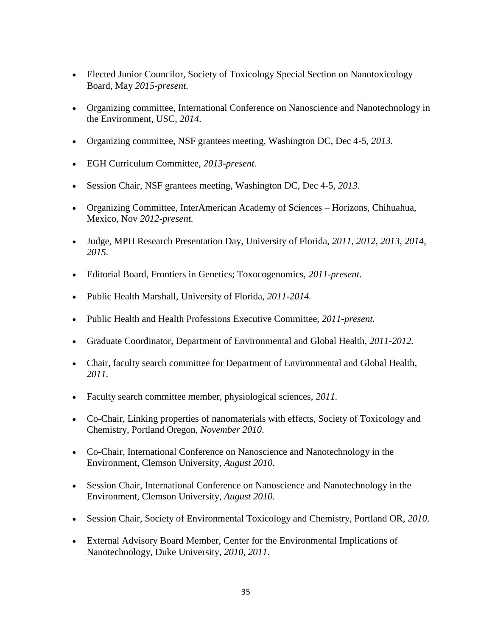- Elected Junior Councilor, Society of Toxicology Special Section on Nanotoxicology Board, May *2015-present.*
- Organizing committee, International Conference on Nanoscience and Nanotechnology in the Environment, USC, *2014*.
- Organizing committee, NSF grantees meeting, Washington DC, Dec 4-5, *2013.*
- EGH Curriculum Committee, *2013-present.*
- Session Chair, NSF grantees meeting, Washington DC, Dec 4-5, *2013.*
- Organizing Committee, InterAmerican Academy of Sciences Horizons, Chihuahua, Mexico, Nov *2012-present.*
- Judge, MPH Research Presentation Day, University of Florida, *2011, 2012, 2013, 2014, 2015.*
- Editorial Board, Frontiers in Genetics; Toxocogenomics, *2011-present*.
- Public Health Marshall, University of Florida, *2011-2014.*
- Public Health and Health Professions Executive Committee, *2011-present.*
- Graduate Coordinator, Department of Environmental and Global Health, *2011-2012.*
- Chair, faculty search committee for Department of Environmental and Global Health, *2011.*
- Faculty search committee member, physiological sciences, *2011.*
- Co-Chair, Linking properties of nanomaterials with effects, Society of Toxicology and Chemistry, Portland Oregon, *November 2010*.
- Co-Chair, International Conference on Nanoscience and Nanotechnology in the Environment, Clemson University, *August 2010*.
- Session Chair, International Conference on Nanoscience and Nanotechnology in the Environment, Clemson University, *August 2010*.
- Session Chair, Society of Environmental Toxicology and Chemistry, Portland OR, *2010*.
- External Advisory Board Member, Center for the Environmental Implications of Nanotechnology, Duke University, *2010*, *2011*.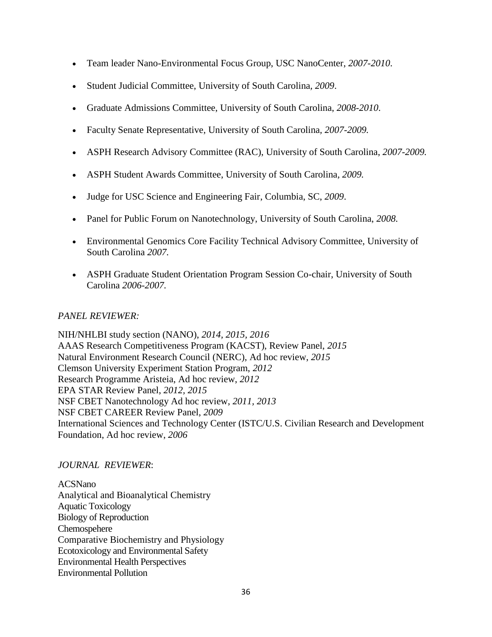- Team leader Nano-Environmental Focus Group, USC NanoCenter, *2007-2010*.
- Student Judicial Committee, University of South Carolina*, 2009*.
- Graduate Admissions Committee, University of South Carolina, *2008-2010*.
- Faculty Senate Representative, University of South Carolina*, 2007-2009.*
- ASPH Research Advisory Committee (RAC), University of South Carolina, *2007-2009.*
- ASPH Student Awards Committee, University of South Carolina*, 2009.*
- Judge for USC Science and Engineering Fair, Columbia, SC, *2009*.
- Panel for Public Forum on Nanotechnology, University of South Carolina, *2008.*
- Environmental Genomics Core Facility Technical Advisory Committee, University of South Carolina *2007.*
- ASPH Graduate Student Orientation Program Session Co-chair, University of South Carolina *2006-2007.*

#### *PANEL REVIEWER:*

NIH/NHLBI study section (NANO), *2014, 2015, 2016* AAAS Research Competitiveness Program (KACST), Review Panel, *2015* Natural Environment Research Council (NERC), Ad hoc review, *2015* Clemson University Experiment Station Program, *2012* Research Programme Aristeia, Ad hoc review, *2012* EPA STAR Review Panel, *2012, 2015* NSF CBET Nanotechnology Ad hoc review, *2011, 2013* NSF CBET CAREER Review Panel, *2009* International Sciences and Technology Center (ISTC/U.S. Civilian Research and Development Foundation, Ad hoc review, *2006*

#### *JOURNAL REVIEWER*:

ACSNano Analytical and Bioanalytical Chemistry Aquatic Toxicology Biology of Reproduction Chemospehere Comparative Biochemistry and Physiology Ecotoxicology and Environmental Safety Environmental Health Perspectives Environmental Pollution